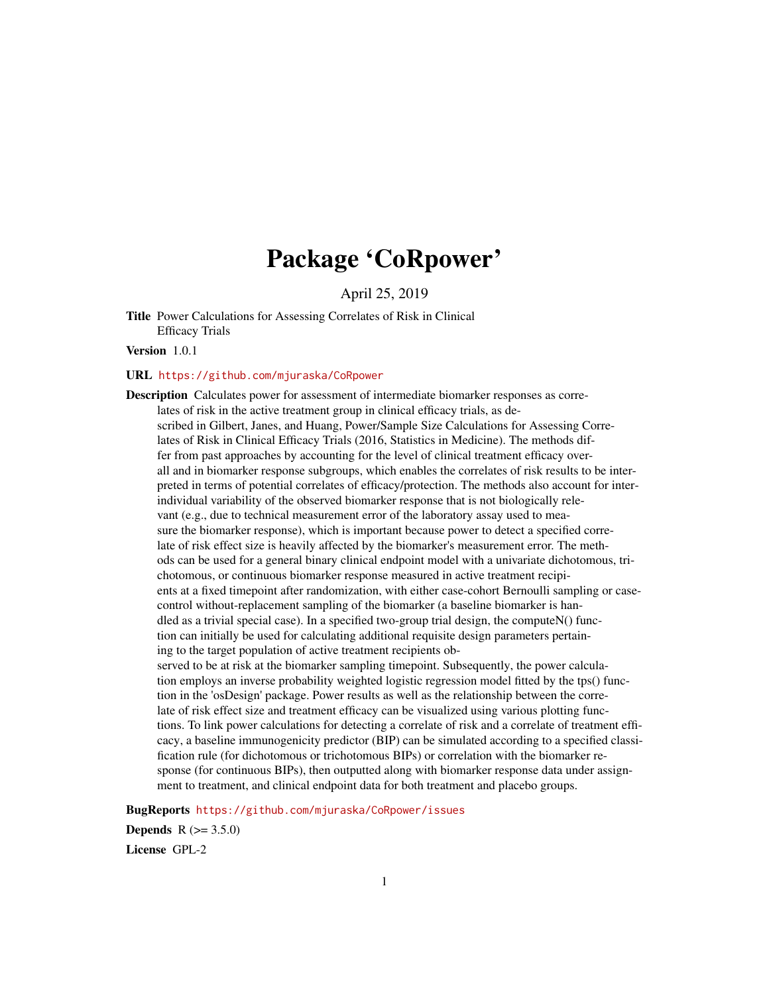# Package 'CoRpower'

April 25, 2019

Title Power Calculations for Assessing Correlates of Risk in Clinical Efficacy Trials

Version 1.0.1

# URL <https://github.com/mjuraska/CoRpower>

Description Calculates power for assessment of intermediate biomarker responses as correlates of risk in the active treatment group in clinical efficacy trials, as described in Gilbert, Janes, and Huang, Power/Sample Size Calculations for Assessing Correlates of Risk in Clinical Efficacy Trials (2016, Statistics in Medicine). The methods differ from past approaches by accounting for the level of clinical treatment efficacy overall and in biomarker response subgroups, which enables the correlates of risk results to be interpreted in terms of potential correlates of efficacy/protection. The methods also account for interindividual variability of the observed biomarker response that is not biologically relevant (e.g., due to technical measurement error of the laboratory assay used to measure the biomarker response), which is important because power to detect a specified correlate of risk effect size is heavily affected by the biomarker's measurement error. The methods can be used for a general binary clinical endpoint model with a univariate dichotomous, trichotomous, or continuous biomarker response measured in active treatment recipients at a fixed timepoint after randomization, with either case-cohort Bernoulli sampling or casecontrol without-replacement sampling of the biomarker (a baseline biomarker is handled as a trivial special case). In a specified two-group trial design, the computeN() function can initially be used for calculating additional requisite design parameters pertaining to the target population of active treatment recipients observed to be at risk at the biomarker sampling timepoint. Subsequently, the power calculation employs an inverse probability weighted logistic regression model fitted by the tps() function in the 'osDesign' package. Power results as well as the relationship between the correlate of risk effect size and treatment efficacy can be visualized using various plotting functions. To link power calculations for detecting a correlate of risk and a correlate of treatment efficacy, a baseline immunogenicity predictor (BIP) can be simulated according to a specified classification rule (for dichotomous or trichotomous BIPs) or correlation with the biomarker response (for continuous BIPs), then outputted along with biomarker response data under assignment to treatment, and clinical endpoint data for both treatment and placebo groups.

BugReports <https://github.com/mjuraska/CoRpower/issues>

**Depends**  $R (= 3.5.0)$ License GPL-2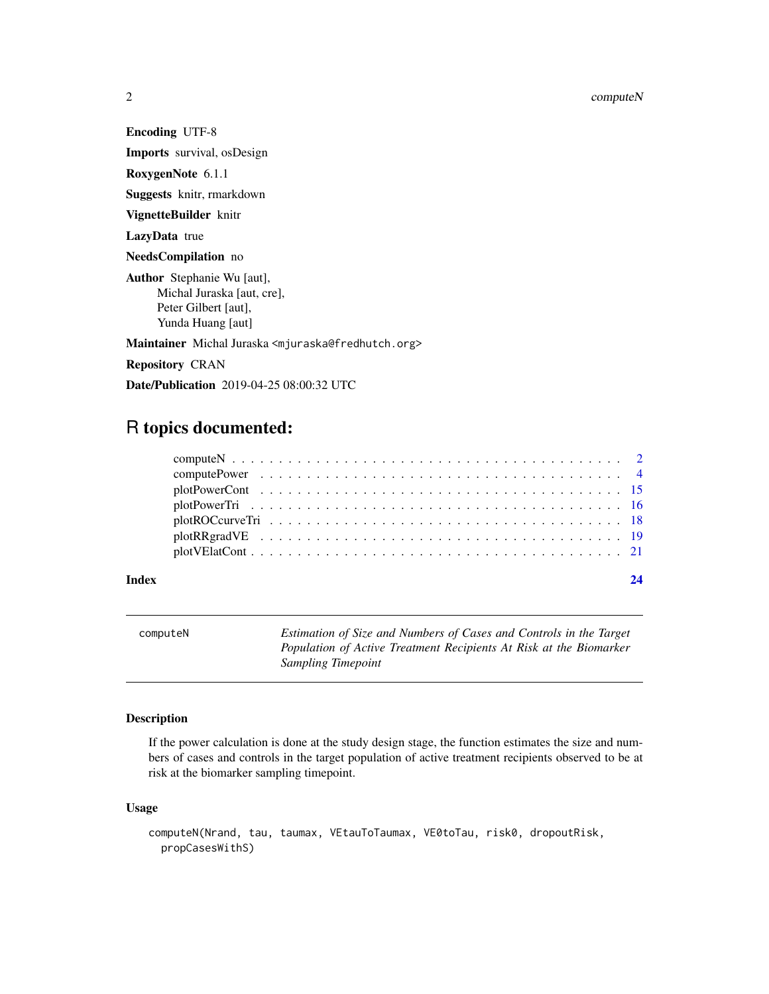Encoding UTF-8

Imports survival, osDesign

RoxygenNote 6.1.1

Suggests knitr, rmarkdown

VignetteBuilder knitr

LazyData true

NeedsCompilation no

Author Stephanie Wu [aut], Michal Juraska [aut, cre], Peter Gilbert [aut], Yunda Huang [aut]

Maintainer Michal Juraska <mjuraska@fredhutch.org>

Repository CRAN

Date/Publication 2019-04-25 08:00:32 UTC

# R topics documented:

| Index |  |
|-------|--|

<span id="page-1-1"></span>computeN *Estimation of Size and Numbers of Cases and Controls in the Target Population of Active Treatment Recipients At Risk at the Biomarker Sampling Timepoint*

# Description

If the power calculation is done at the study design stage, the function estimates the size and numbers of cases and controls in the target population of active treatment recipients observed to be at risk at the biomarker sampling timepoint.

# Usage

```
computeN(Nrand, tau, taumax, VEtauToTaumax, VE0toTau, risk0, dropoutRisk,
 propCasesWithS)
```
<span id="page-1-0"></span>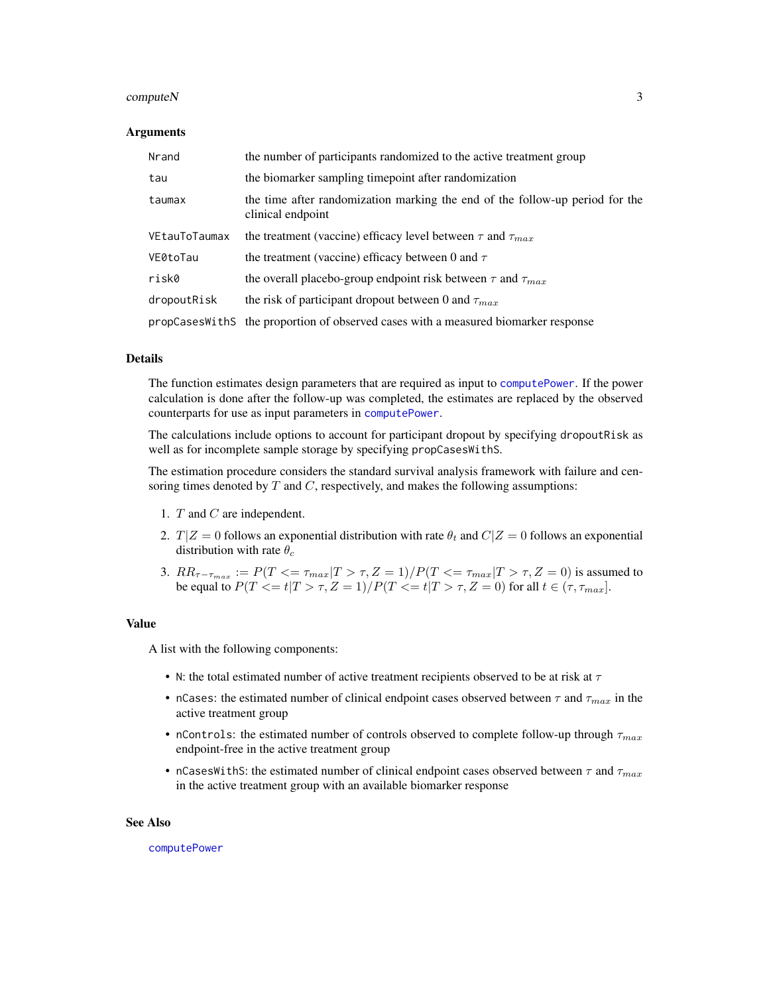### <span id="page-2-0"></span> $\epsilon$  compute N  $\geq$  3

#### Arguments

| Nrand         | the number of participants randomized to the active treatment group                               |
|---------------|---------------------------------------------------------------------------------------------------|
| tau           | the biomarker sampling timepoint after randomization                                              |
| taumax        | the time after randomization marking the end of the follow-up period for the<br>clinical endpoint |
| VEtauToTaumax | the treatment (vaccine) efficacy level between $\tau$ and $\tau_{max}$                            |
| VE0toTau      | the treatment (vaccine) efficacy between 0 and $\tau$                                             |
| risk0         | the overall placebo-group endpoint risk between $\tau$ and $\tau_{max}$                           |
| dropoutRisk   | the risk of participant dropout between 0 and $\tau_{max}$                                        |
|               | propCases With S the proportion of observed cases with a measured biomarker response              |

# Details

The function estimates design parameters that are required as input to [computePower](#page-3-1). If the power calculation is done after the follow-up was completed, the estimates are replaced by the observed counterparts for use as input parameters in [computePower](#page-3-1).

The calculations include options to account for participant dropout by specifying dropoutRisk as well as for incomplete sample storage by specifying propCasesWithS.

The estimation procedure considers the standard survival analysis framework with failure and censoring times denoted by  $T$  and  $C$ , respectively, and makes the following assumptions:

- 1. T and C are independent.
- 2.  $T|Z = 0$  follows an exponential distribution with rate  $\theta_t$  and  $C|Z = 0$  follows an exponential distribution with rate  $\theta_c$
- 3.  $RR_{\tau-\tau_{max}} := P(T \leq \tau_{max}|T > \tau, Z = 1) / P(T \leq \tau_{max}|T > \tau, Z = 0)$  is assumed to be equal to  $P(T \le t | T > \tau, Z = 1) / P(T \le t | T > \tau, Z = 0)$  for all  $t \in (\tau, \tau_{max}]$ .

# Value

A list with the following components:

- N: the total estimated number of active treatment recipients observed to be at risk at  $\tau$
- nCases: the estimated number of clinical endpoint cases observed between  $\tau$  and  $\tau_{max}$  in the active treatment group
- nControls: the estimated number of controls observed to complete follow-up through  $\tau_{max}$ endpoint-free in the active treatment group
- nCasesWithS: the estimated number of clinical endpoint cases observed between  $\tau$  and  $\tau_{max}$ in the active treatment group with an available biomarker response

#### See Also

[computePower](#page-3-1)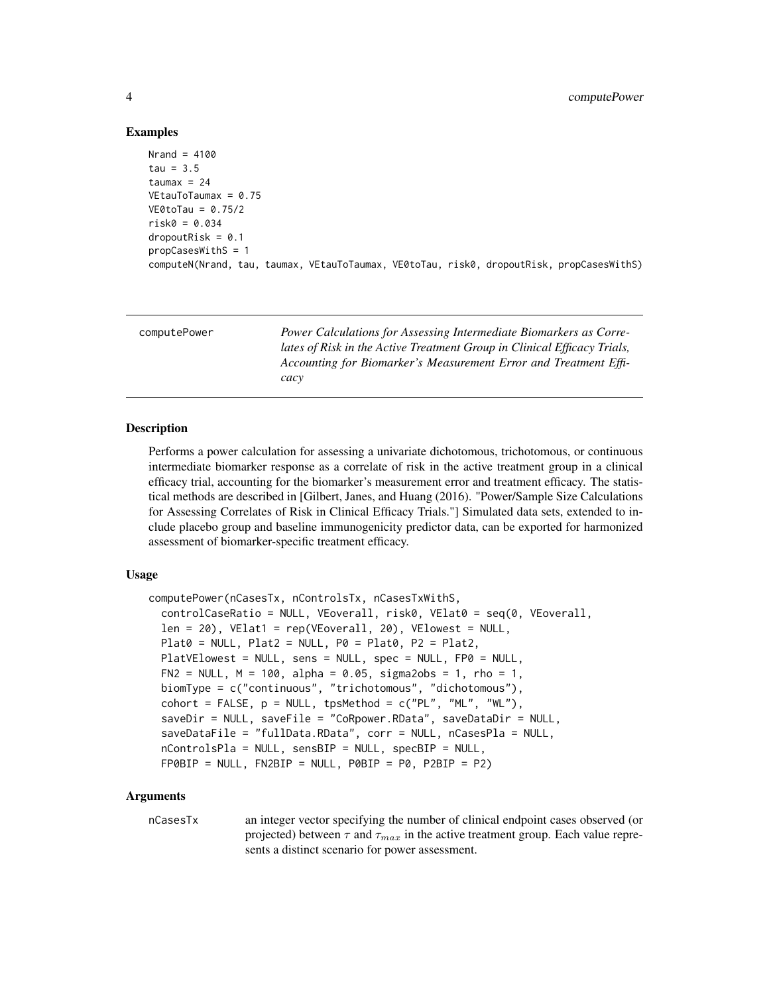# Examples

```
Nrand = 4100tau = 3.5taumax = 24VEtauToTaumax = 0.75
VE0toTau = 0.75/2
risk0 = 0.034
dropoutRisk = 0.1propCasesWithS = 1
computeN(Nrand, tau, taumax, VEtauToTaumax, VE0toTau, risk0, dropoutRisk, propCasesWithS)
```
<span id="page-3-1"></span>

| computePower | Power Calculations for Assessing Intermediate Biomarkers as Corre-                                                                           |
|--------------|----------------------------------------------------------------------------------------------------------------------------------------------|
|              | lates of Risk in the Active Treatment Group in Clinical Efficacy Trials,<br>Accounting for Biomarker's Measurement Error and Treatment Effi- |
|              | cacy                                                                                                                                         |

# Description

Performs a power calculation for assessing a univariate dichotomous, trichotomous, or continuous intermediate biomarker response as a correlate of risk in the active treatment group in a clinical efficacy trial, accounting for the biomarker's measurement error and treatment efficacy. The statistical methods are described in [Gilbert, Janes, and Huang (2016). "Power/Sample Size Calculations for Assessing Correlates of Risk in Clinical Efficacy Trials."] Simulated data sets, extended to include placebo group and baseline immunogenicity predictor data, can be exported for harmonized assessment of biomarker-specific treatment efficacy.

#### Usage

```
computePower(nCasesTx, nControlsTx, nCasesTxWithS,
  controlCaseRatio = NULL, VEoverall, risk0, VElat0 = seq(0, VEoverall,
  len = 20), VElat1 = rep(VEoverall, 20), VElowest = NULL,
 Plat0 = NULL, Plat2 = NULL, P0 = Plat0, P2 = Plat2,
 PlatVElowest = NULL, sens = NULL, spec = NULL, FP0 = NULL,
  FN2 = NULL, M = 100, alpha = 0.05, sigma2obs = 1, rho = 1,
 biomType = c("continuous", "trichotomous", "dichotomous"),
  \text{cohort} = \text{FALSE}, \text{ p = NULL}, \text{ typMethod} = \text{c("PL", "ML", "WL"),}saveDir = NULL, saveFile = "CoRpower.RData", saveDataDir = NULL,
  saveDataFile = "fullData.RData", corr = NULL, nCasesPla = NULL,
  nControlsPla = NULL, sensBIP = NULL, specBIP = NULL,
  FPOBIP = NULL, FN2BIP = NULL, POBIP = PO, P2BIP = P2)
```
# Arguments

nCasesTx an integer vector specifying the number of clinical endpoint cases observed (or projected) between  $\tau$  and  $\tau_{max}$  in the active treatment group. Each value represents a distinct scenario for power assessment.

<span id="page-3-0"></span>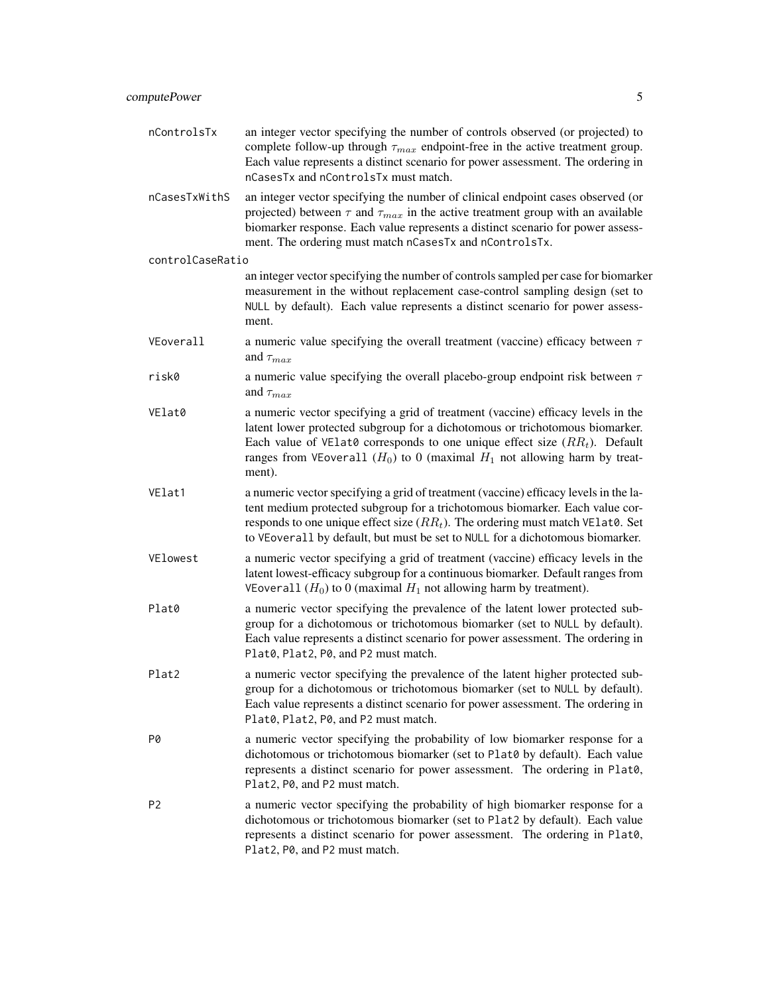- nControlsTx an integer vector specifying the number of controls observed (or projected) to complete follow-up through  $\tau_{max}$  endpoint-free in the active treatment group. Each value represents a distinct scenario for power assessment. The ordering in nCasesTx and nControlsTx must match.
- nCasesTxWithS an integer vector specifying the number of clinical endpoint cases observed (or projected) between  $\tau$  and  $\tau_{max}$  in the active treatment group with an available biomarker response. Each value represents a distinct scenario for power assessment. The ordering must match nCasesTx and nControlsTx.

controlCaseRatio

an integer vector specifying the number of controls sampled per case for biomarker measurement in the without replacement case-control sampling design (set to NULL by default). Each value represents a distinct scenario for power assessment.

- VEoverall a numeric value specifying the overall treatment (vaccine) efficacy between  $\tau$ and  $\tau_{max}$
- risk0 a numeric value specifying the overall placebo-group endpoint risk between  $\tau$ and  $\tau_{max}$
- VElat0 a numeric vector specifying a grid of treatment (vaccine) efficacy levels in the latent lower protected subgroup for a dichotomous or trichotomous biomarker. Each value of VE1at0 corresponds to one unique effect size  $(RR_t)$ . Default ranges from VEoverall  $(H_0)$  to 0 (maximal  $H_1$  not allowing harm by treatment).
- VElat1 a numeric vector specifying a grid of treatment (vaccine) efficacy levels in the latent medium protected subgroup for a trichotomous biomarker. Each value corresponds to one unique effect size  $(RR_t)$ . The ordering must match VElat0. Set to VEoverall by default, but must be set to NULL for a dichotomous biomarker.
- VElowest a numeric vector specifying a grid of treatment (vaccine) efficacy levels in the latent lowest-efficacy subgroup for a continuous biomarker. Default ranges from VEoverall  $(H_0)$  to 0 (maximal  $H_1$  not allowing harm by treatment).
- Plat0 a numeric vector specifying the prevalence of the latent lower protected subgroup for a dichotomous or trichotomous biomarker (set to NULL by default). Each value represents a distinct scenario for power assessment. The ordering in Plat0, Plat2, P0, and P2 must match.
- Plat2 a numeric vector specifying the prevalence of the latent higher protected subgroup for a dichotomous or trichotomous biomarker (set to NULL by default). Each value represents a distinct scenario for power assessment. The ordering in Plat0, Plat2, P0, and P2 must match.
- P0 a numeric vector specifying the probability of low biomarker response for a dichotomous or trichotomous biomarker (set to Plat0 by default). Each value represents a distinct scenario for power assessment. The ordering in Plat0, Plat2, P0, and P2 must match.
- P2 a numeric vector specifying the probability of high biomarker response for a dichotomous or trichotomous biomarker (set to Plat2 by default). Each value represents a distinct scenario for power assessment. The ordering in Plat0, Plat2, P0, and P2 must match.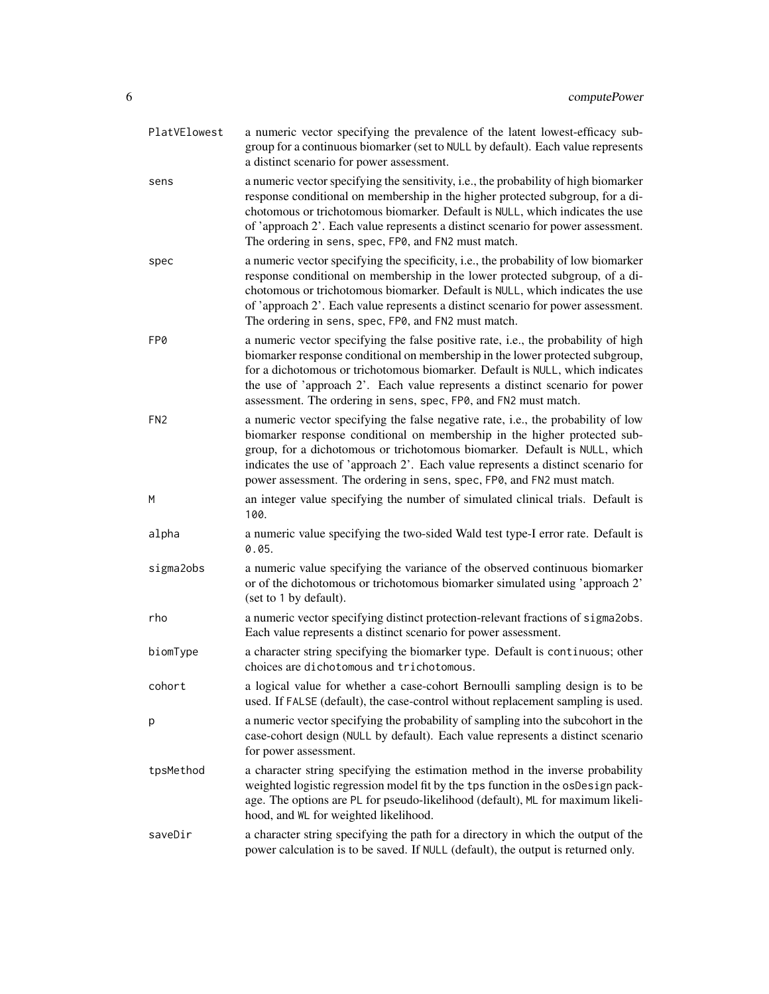| PlatVElowest    | a numeric vector specifying the prevalence of the latent lowest-efficacy sub-<br>group for a continuous biomarker (set to NULL by default). Each value represents<br>a distinct scenario for power assessment.                                                                                                                                                                                             |
|-----------------|------------------------------------------------------------------------------------------------------------------------------------------------------------------------------------------------------------------------------------------------------------------------------------------------------------------------------------------------------------------------------------------------------------|
| sens            | a numeric vector specifying the sensitivity, i.e., the probability of high biomarker<br>response conditional on membership in the higher protected subgroup, for a di-<br>chotomous or trichotomous biomarker. Default is NULL, which indicates the use<br>of 'approach 2'. Each value represents a distinct scenario for power assessment.<br>The ordering in sens, spec, FP0, and FN2 must match.        |
| spec            | a numeric vector specifying the specificity, i.e., the probability of low biomarker<br>response conditional on membership in the lower protected subgroup, of a di-<br>chotomous or trichotomous biomarker. Default is NULL, which indicates the use<br>of 'approach 2'. Each value represents a distinct scenario for power assessment.<br>The ordering in sens, spec, FP0, and FN2 must match.           |
| FP0             | a numeric vector specifying the false positive rate, i.e., the probability of high<br>biomarker response conditional on membership in the lower protected subgroup,<br>for a dichotomous or trichotomous biomarker. Default is NULL, which indicates<br>the use of 'approach 2'. Each value represents a distinct scenario for power<br>assessment. The ordering in sens, spec, FP0, and FN2 must match.   |
| FN <sub>2</sub> | a numeric vector specifying the false negative rate, i.e., the probability of low<br>biomarker response conditional on membership in the higher protected sub-<br>group, for a dichotomous or trichotomous biomarker. Default is NULL, which<br>indicates the use of 'approach 2'. Each value represents a distinct scenario for<br>power assessment. The ordering in sens, spec, FP0, and FN2 must match. |
| M               | an integer value specifying the number of simulated clinical trials. Default is<br>100.                                                                                                                                                                                                                                                                                                                    |
| alpha           | a numeric value specifying the two-sided Wald test type-I error rate. Default is<br>0.05.                                                                                                                                                                                                                                                                                                                  |
| sigma2obs       | a numeric value specifying the variance of the observed continuous biomarker<br>or of the dichotomous or trichotomous biomarker simulated using 'approach 2'<br>(set to 1 by default).                                                                                                                                                                                                                     |
| rho             | a numeric vector specifying distinct protection-relevant fractions of sigma2obs.<br>Each value represents a distinct scenario for power assessment.                                                                                                                                                                                                                                                        |
| biomType        | a character string specifying the biomarker type. Default is continuous; other<br>choices are dichotomous and trichotomous.                                                                                                                                                                                                                                                                                |
| cohort          | a logical value for whether a case-cohort Bernoulli sampling design is to be<br>used. If FALSE (default), the case-control without replacement sampling is used.                                                                                                                                                                                                                                           |
| р               | a numeric vector specifying the probability of sampling into the subcohort in the<br>case-cohort design (NULL by default). Each value represents a distinct scenario<br>for power assessment.                                                                                                                                                                                                              |
| tpsMethod       | a character string specifying the estimation method in the inverse probability<br>weighted logistic regression model fit by the tps function in the osDesign pack-<br>age. The options are PL for pseudo-likelihood (default), ML for maximum likeli-<br>hood, and WL for weighted likelihood.                                                                                                             |
| saveDir         | a character string specifying the path for a directory in which the output of the<br>power calculation is to be saved. If NULL (default), the output is returned only.                                                                                                                                                                                                                                     |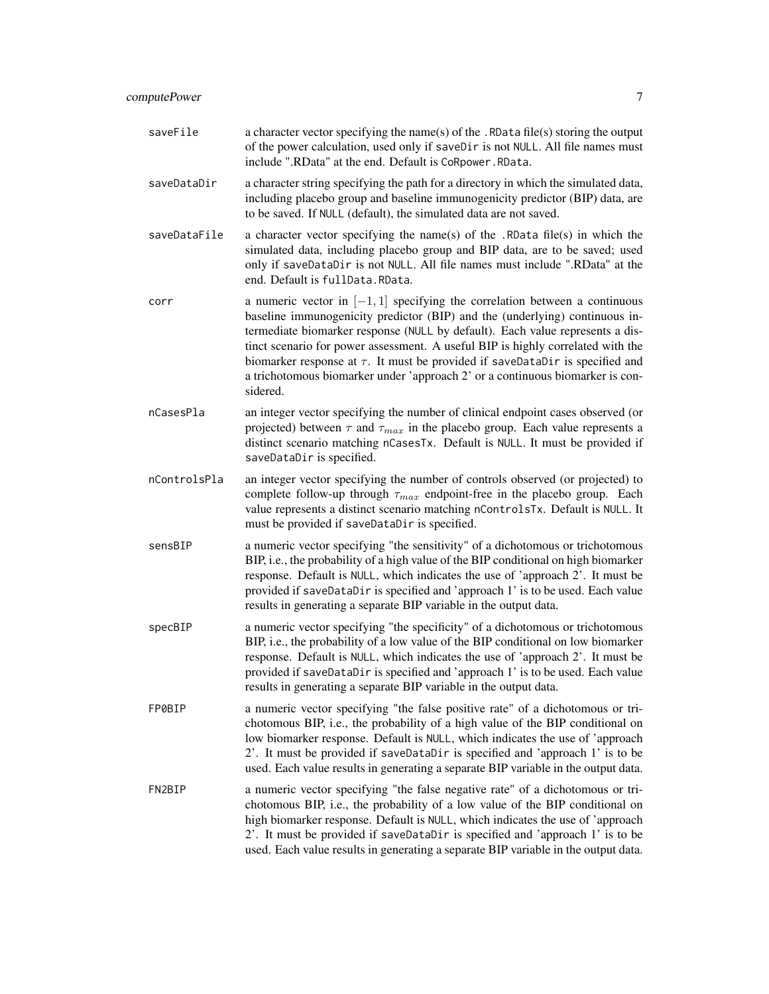| saveFile     | a character vector specifying the name(s) of the . RData file(s) storing the output<br>of the power calculation, used only if saveDir is not NULL. All file names must<br>include ".RData" at the end. Default is CoRpower.RData.                                                                                                                                                                                                                                                                                   |
|--------------|---------------------------------------------------------------------------------------------------------------------------------------------------------------------------------------------------------------------------------------------------------------------------------------------------------------------------------------------------------------------------------------------------------------------------------------------------------------------------------------------------------------------|
| saveDataDir  | a character string specifying the path for a directory in which the simulated data,<br>including placebo group and baseline immunogenicity predictor (BIP) data, are<br>to be saved. If NULL (default), the simulated data are not saved.                                                                                                                                                                                                                                                                           |
| saveDataFile | a character vector specifying the name(s) of the .RData file(s) in which the<br>simulated data, including placebo group and BIP data, are to be saved; used<br>only if saveDataDir is not NULL. All file names must include ".RData" at the<br>end. Default is fullData. RData.                                                                                                                                                                                                                                     |
| corr         | a numeric vector in $[-1, 1]$ specifying the correlation between a continuous<br>baseline immunogenicity predictor (BIP) and the (underlying) continuous in-<br>termediate biomarker response (NULL by default). Each value represents a dis-<br>tinct scenario for power assessment. A useful BIP is highly correlated with the<br>biomarker response at $\tau$ . It must be provided if saveDataDir is specified and<br>a trichotomous biomarker under 'approach 2' or a continuous biomarker is con-<br>sidered. |
| nCasesPla    | an integer vector specifying the number of clinical endpoint cases observed (or<br>projected) between $\tau$ and $\tau_{max}$ in the placebo group. Each value represents a<br>distinct scenario matching nCasesTx. Default is NULL. It must be provided if<br>saveDataDir is specified.                                                                                                                                                                                                                            |
| nControlsPla | an integer vector specifying the number of controls observed (or projected) to<br>complete follow-up through $\tau_{max}$ endpoint-free in the placebo group. Each<br>value represents a distinct scenario matching nControlsTx. Default is NULL. It<br>must be provided if saveDataDir is specified.                                                                                                                                                                                                               |
| sensBIP      | a numeric vector specifying "the sensitivity" of a dichotomous or trichotomous<br>BIP, i.e., the probability of a high value of the BIP conditional on high biomarker<br>response. Default is NULL, which indicates the use of 'approach 2'. It must be<br>provided if saveDataDir is specified and 'approach 1' is to be used. Each value<br>results in generating a separate BIP variable in the output data.                                                                                                     |
| specBIP      | a numeric vector specifying "the specificity" of a dichotomous or trichotomous<br>BIP, i.e., the probability of a low value of the BIP conditional on low biomarker<br>response. Default is NULL, which indicates the use of 'approach 2'. It must be<br>provided if saveDataDir is specified and 'approach 1' is to be used. Each value<br>results in generating a separate BIP variable in the output data.                                                                                                       |
| FP0BIP       | a numeric vector specifying "the false positive rate" of a dichotomous or tri-<br>chotomous BIP, i.e., the probability of a high value of the BIP conditional on<br>low biomarker response. Default is NULL, which indicates the use of 'approach<br>2'. It must be provided if saveDataDir is specified and 'approach 1' is to be<br>used. Each value results in generating a separate BIP variable in the output data.                                                                                            |
| FN2BIP       | a numeric vector specifying "the false negative rate" of a dichotomous or tri-<br>chotomous BIP, i.e., the probability of a low value of the BIP conditional on<br>high biomarker response. Default is NULL, which indicates the use of 'approach<br>2'. It must be provided if saveDataDir is specified and 'approach 1' is to be                                                                                                                                                                                  |

used. Each value results in generating a separate BIP variable in the output data.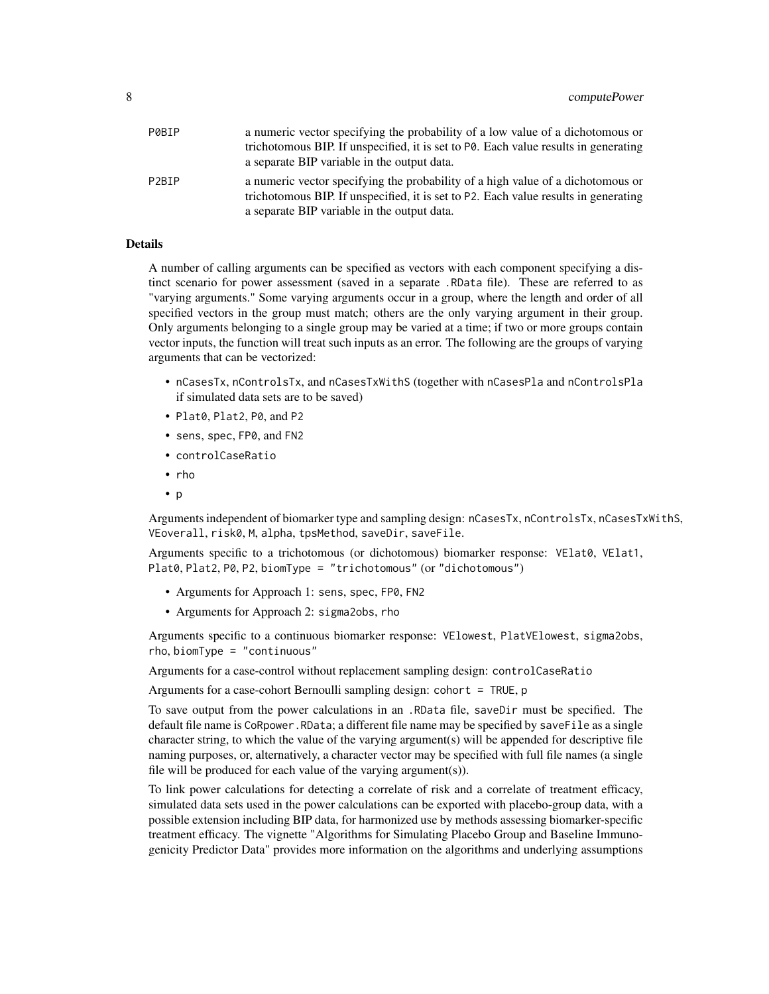| P0BIP | a numeric vector specifying the probability of a low value of a dichotomous or                                                                                         |
|-------|------------------------------------------------------------------------------------------------------------------------------------------------------------------------|
|       | trichotomous BIP. If unspecified, it is set to $P\ddot{\theta}$ . Each value results in generating                                                                     |
|       | a separate BIP variable in the output data.                                                                                                                            |
| P2BTP | a numeric vector specifying the probability of a high value of a dichotomous or<br>trichotomous BIP. If unspecified, it is set to P2. Each value results in generating |
|       | a separate BIP variable in the output data.                                                                                                                            |

# Details

A number of calling arguments can be specified as vectors with each component specifying a distinct scenario for power assessment (saved in a separate .RData file). These are referred to as "varying arguments." Some varying arguments occur in a group, where the length and order of all specified vectors in the group must match; others are the only varying argument in their group. Only arguments belonging to a single group may be varied at a time; if two or more groups contain vector inputs, the function will treat such inputs as an error. The following are the groups of varying arguments that can be vectorized:

- nCasesTx, nControlsTx, and nCasesTxWithS (together with nCasesPla and nControlsPla if simulated data sets are to be saved)
- Plat0, Plat2, P0, and P2
- sens, spec, FP0, and FN2
- controlCaseRatio
- rho
- p

Arguments independent of biomarker type and sampling design: nCasesTx, nControlsTx, nCasesTxWithS, VEoverall, risk0, M, alpha, tpsMethod, saveDir, saveFile.

Arguments specific to a trichotomous (or dichotomous) biomarker response: VElat0, VElat1, Plat0, Plat2, P0, P2, biomType = "trichotomous" (or "dichotomous")

- Arguments for Approach 1: sens, spec, FP0, FN2
- Arguments for Approach 2: sigma2obs, rho

Arguments specific to a continuous biomarker response: VElowest, PlatVElowest, sigma2obs, rho, biomType = "continuous"

Arguments for a case-control without replacement sampling design: controlCaseRatio

Arguments for a case-cohort Bernoulli sampling design: cohort = TRUE, p

To save output from the power calculations in an .RData file, saveDir must be specified. The default file name is CoRpower.RData; a different file name may be specified by saveFile as a single character string, to which the value of the varying argument(s) will be appended for descriptive file naming purposes, or, alternatively, a character vector may be specified with full file names (a single file will be produced for each value of the varying argument(s)).

To link power calculations for detecting a correlate of risk and a correlate of treatment efficacy, simulated data sets used in the power calculations can be exported with placebo-group data, with a possible extension including BIP data, for harmonized use by methods assessing biomarker-specific treatment efficacy. The vignette "Algorithms for Simulating Placebo Group and Baseline Immunogenicity Predictor Data" provides more information on the algorithms and underlying assumptions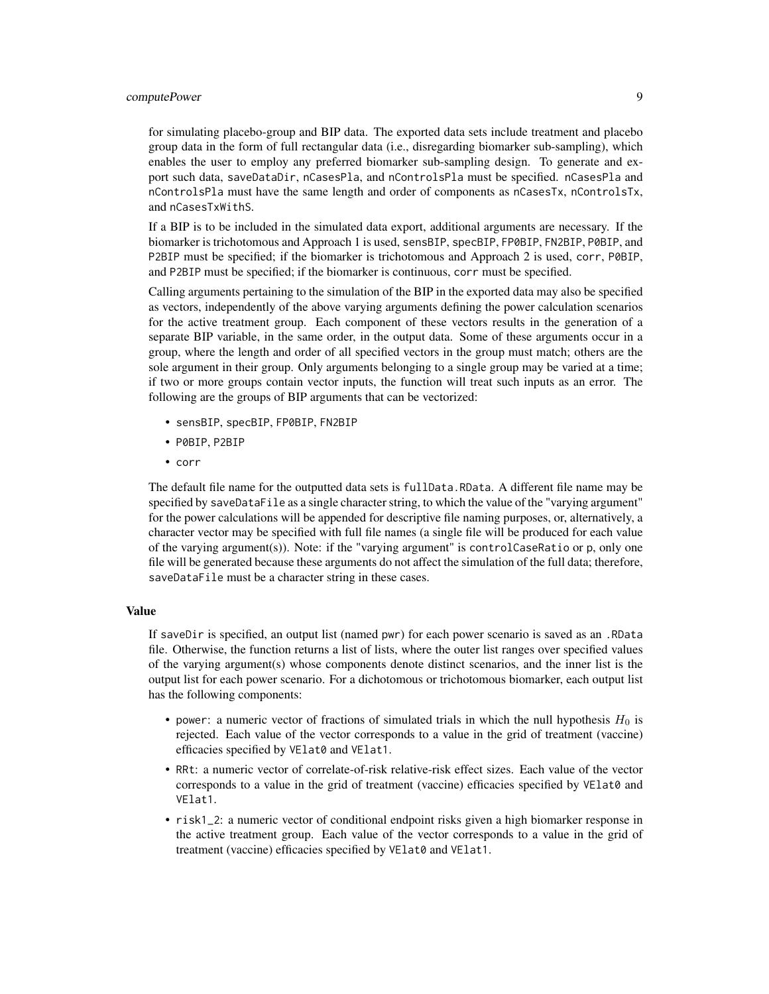# computePower 9

for simulating placebo-group and BIP data. The exported data sets include treatment and placebo group data in the form of full rectangular data (i.e., disregarding biomarker sub-sampling), which enables the user to employ any preferred biomarker sub-sampling design. To generate and export such data, saveDataDir, nCasesPla, and nControlsPla must be specified. nCasesPla and nControlsPla must have the same length and order of components as nCasesTx, nControlsTx, and nCasesTxWithS.

If a BIP is to be included in the simulated data export, additional arguments are necessary. If the biomarker is trichotomous and Approach 1 is used, sensBIP, specBIP, FP0BIP, FN2BIP, P0BIP, and P2BIP must be specified; if the biomarker is trichotomous and Approach 2 is used, corr, P0BIP, and P2BIP must be specified; if the biomarker is continuous, corr must be specified.

Calling arguments pertaining to the simulation of the BIP in the exported data may also be specified as vectors, independently of the above varying arguments defining the power calculation scenarios for the active treatment group. Each component of these vectors results in the generation of a separate BIP variable, in the same order, in the output data. Some of these arguments occur in a group, where the length and order of all specified vectors in the group must match; others are the sole argument in their group. Only arguments belonging to a single group may be varied at a time; if two or more groups contain vector inputs, the function will treat such inputs as an error. The following are the groups of BIP arguments that can be vectorized:

- sensBIP, specBIP, FP0BIP, FN2BIP
- P0BIP, P2BIP
- corr

The default file name for the outputted data sets is fullData.RData. A different file name may be specified by saveDataFile as a single character string, to which the value of the "varying argument" for the power calculations will be appended for descriptive file naming purposes, or, alternatively, a character vector may be specified with full file names (a single file will be produced for each value of the varying argument(s)). Note: if the "varying argument" is controlCaseRatio or p, only one file will be generated because these arguments do not affect the simulation of the full data; therefore, saveDataFile must be a character string in these cases.

# Value

If saveDir is specified, an output list (named pwr) for each power scenario is saved as an .RData file. Otherwise, the function returns a list of lists, where the outer list ranges over specified values of the varying argument(s) whose components denote distinct scenarios, and the inner list is the output list for each power scenario. For a dichotomous or trichotomous biomarker, each output list has the following components:

- power: a numeric vector of fractions of simulated trials in which the null hypothesis  $H_0$  is rejected. Each value of the vector corresponds to a value in the grid of treatment (vaccine) efficacies specified by VElat0 and VElat1.
- RRt: a numeric vector of correlate-of-risk relative-risk effect sizes. Each value of the vector corresponds to a value in the grid of treatment (vaccine) efficacies specified by VElat0 and VElat1.
- risk1\_2: a numeric vector of conditional endpoint risks given a high biomarker response in the active treatment group. Each value of the vector corresponds to a value in the grid of treatment (vaccine) efficacies specified by VElat0 and VElat1.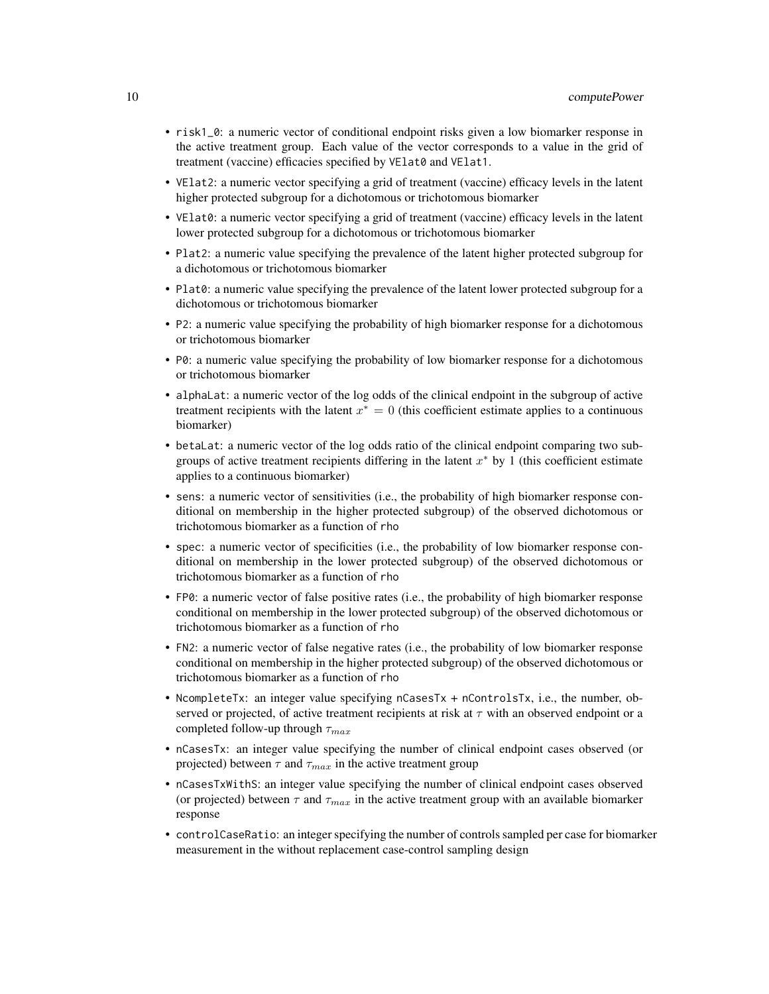- risk1\_0: a numeric vector of conditional endpoint risks given a low biomarker response in the active treatment group. Each value of the vector corresponds to a value in the grid of treatment (vaccine) efficacies specified by VElat0 and VElat1.
- VElat2: a numeric vector specifying a grid of treatment (vaccine) efficacy levels in the latent higher protected subgroup for a dichotomous or trichotomous biomarker
- VElat0: a numeric vector specifying a grid of treatment (vaccine) efficacy levels in the latent lower protected subgroup for a dichotomous or trichotomous biomarker
- Plat2: a numeric value specifying the prevalence of the latent higher protected subgroup for a dichotomous or trichotomous biomarker
- Plat0: a numeric value specifying the prevalence of the latent lower protected subgroup for a dichotomous or trichotomous biomarker
- P2: a numeric value specifying the probability of high biomarker response for a dichotomous or trichotomous biomarker
- P0: a numeric value specifying the probability of low biomarker response for a dichotomous or trichotomous biomarker
- alphaLat: a numeric vector of the log odds of the clinical endpoint in the subgroup of active treatment recipients with the latent  $x^* = 0$  (this coefficient estimate applies to a continuous biomarker)
- betaLat: a numeric vector of the log odds ratio of the clinical endpoint comparing two subgroups of active treatment recipients differing in the latent  $x^*$  by 1 (this coefficient estimate applies to a continuous biomarker)
- sens: a numeric vector of sensitivities (i.e., the probability of high biomarker response conditional on membership in the higher protected subgroup) of the observed dichotomous or trichotomous biomarker as a function of rho
- spec: a numeric vector of specificities (i.e., the probability of low biomarker response conditional on membership in the lower protected subgroup) of the observed dichotomous or trichotomous biomarker as a function of rho
- FP0: a numeric vector of false positive rates (i.e., the probability of high biomarker response conditional on membership in the lower protected subgroup) of the observed dichotomous or trichotomous biomarker as a function of rho
- FN2: a numeric vector of false negative rates (i.e., the probability of low biomarker response conditional on membership in the higher protected subgroup) of the observed dichotomous or trichotomous biomarker as a function of rho
- NcompleteTx: an integer value specifying nCasesTx + nControlsTx, i.e., the number, observed or projected, of active treatment recipients at risk at  $\tau$  with an observed endpoint or a completed follow-up through  $\tau_{max}$
- nCasesTx: an integer value specifying the number of clinical endpoint cases observed (or projected) between  $\tau$  and  $\tau_{max}$  in the active treatment group
- nCasesTxWithS: an integer value specifying the number of clinical endpoint cases observed (or projected) between  $\tau$  and  $\tau_{max}$  in the active treatment group with an available biomarker response
- controlCaseRatio: an integer specifying the number of controls sampled per case for biomarker measurement in the without replacement case-control sampling design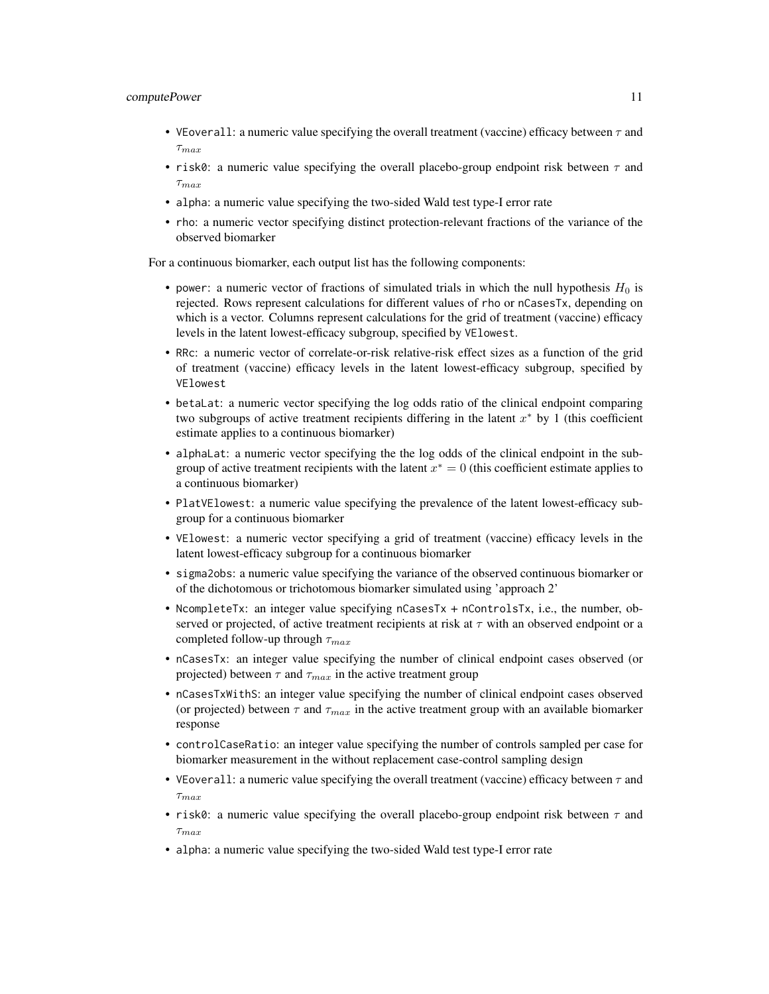# computePower 11

- VEoverall: a numeric value specifying the overall treatment (vaccine) efficacy between  $\tau$  and  $\tau_{max}$
- risk0: a numeric value specifying the overall placebo-group endpoint risk between  $\tau$  and  $\tau_{max}$
- alpha: a numeric value specifying the two-sided Wald test type-I error rate
- rho: a numeric vector specifying distinct protection-relevant fractions of the variance of the observed biomarker

For a continuous biomarker, each output list has the following components:

- power: a numeric vector of fractions of simulated trials in which the null hypothesis  $H_0$  is rejected. Rows represent calculations for different values of rho or nCasesTx, depending on which is a vector. Columns represent calculations for the grid of treatment (vaccine) efficacy levels in the latent lowest-efficacy subgroup, specified by VElowest.
- RRc: a numeric vector of correlate-or-risk relative-risk effect sizes as a function of the grid of treatment (vaccine) efficacy levels in the latent lowest-efficacy subgroup, specified by VElowest
- betaLat: a numeric vector specifying the log odds ratio of the clinical endpoint comparing two subgroups of active treatment recipients differing in the latent  $x^*$  by 1 (this coefficient estimate applies to a continuous biomarker)
- alphaLat: a numeric vector specifying the the log odds of the clinical endpoint in the subgroup of active treatment recipients with the latent  $x^* = 0$  (this coefficient estimate applies to a continuous biomarker)
- PlatVElowest: a numeric value specifying the prevalence of the latent lowest-efficacy subgroup for a continuous biomarker
- VElowest: a numeric vector specifying a grid of treatment (vaccine) efficacy levels in the latent lowest-efficacy subgroup for a continuous biomarker
- sigma2obs: a numeric value specifying the variance of the observed continuous biomarker or of the dichotomous or trichotomous biomarker simulated using 'approach 2'
- NcompleteTx: an integer value specifying nCasesTx + nControlsTx, i.e., the number, observed or projected, of active treatment recipients at risk at  $\tau$  with an observed endpoint or a completed follow-up through  $\tau_{max}$
- nCasesTx: an integer value specifying the number of clinical endpoint cases observed (or projected) between  $\tau$  and  $\tau_{max}$  in the active treatment group
- nCasesTxWithS: an integer value specifying the number of clinical endpoint cases observed (or projected) between  $\tau$  and  $\tau_{max}$  in the active treatment group with an available biomarker response
- controlCaseRatio: an integer value specifying the number of controls sampled per case for biomarker measurement in the without replacement case-control sampling design
- VEoverall: a numeric value specifying the overall treatment (vaccine) efficacy between  $\tau$  and  $\tau_{max}$
- risk0: a numeric value specifying the overall placebo-group endpoint risk between  $\tau$  and  $\tau_{max}$
- alpha: a numeric value specifying the two-sided Wald test type-I error rate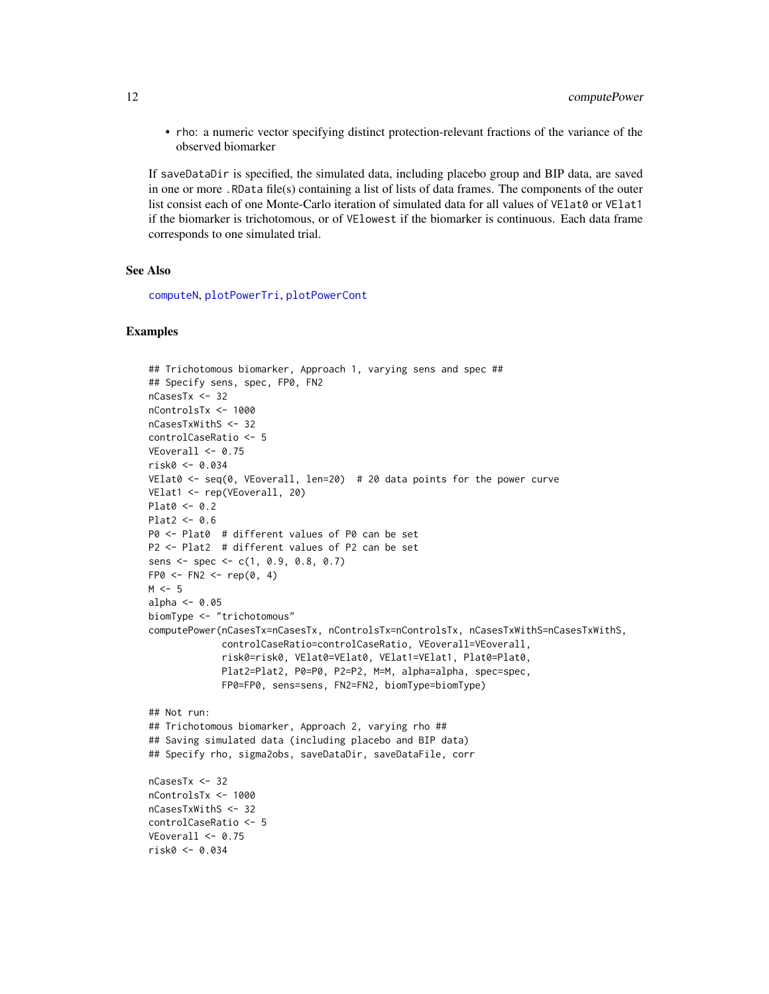• rho: a numeric vector specifying distinct protection-relevant fractions of the variance of the observed biomarker

If saveDataDir is specified, the simulated data, including placebo group and BIP data, are saved in one or more .RData file(s) containing a list of lists of data frames. The components of the outer list consist each of one Monte-Carlo iteration of simulated data for all values of VElat0 or VElat1 if the biomarker is trichotomous, or of VElowest if the biomarker is continuous. Each data frame corresponds to one simulated trial.

# See Also

[computeN](#page-1-1), [plotPowerTri](#page-15-1), [plotPowerCont](#page-14-1)

# Examples

```
## Trichotomous biomarker, Approach 1, varying sens and spec ##
## Specify sens, spec, FP0, FN2
nCasesTx <- 32
nControlsTx <- 1000
nCasesTxWithS <- 32
controlCaseRatio <- 5
VEoverall \leq 0.75risk0 <- 0.034
VElat0 \le seq(0, VEoverall, len=20) # 20 data points for the power curve
VElat1 <- rep(VEoverall, 20)
Plat0 < -0.2Plat2 < -0.6P0 <- Plat0 # different values of P0 can be set
P2 <- Plat2 # different values of P2 can be set
sens <- spec <- c(1, 0.9, 0.8, 0.7)
FPØ \leftarrow FN2 \leftarrow rep(0, 4)M < -5alpha <-0.05biomType <- "trichotomous"
computePower(nCasesTx=nCasesTx, nControlsTx=nControlsTx, nCasesTxWithS=nCasesTxWithS,
             controlCaseRatio=controlCaseRatio, VEoverall=VEoverall,
             risk0=risk0, VElat0=VElat0, VElat1=VElat1, Plat0=Plat0,
             Plat2=Plat2, P0=P0, P2=P2, M=M, alpha=alpha, spec=spec,
             FP0=FP0, sens=sens, FN2=FN2, biomType=biomType)
## Not run:
## Trichotomous biomarker, Approach 2, varying rho ##
## Saving simulated data (including placebo and BIP data)
## Specify rho, sigma2obs, saveDataDir, saveDataFile, corr
nCasesTx <- 32
nControlsTx <- 1000
nCasesTxWithS <- 32
controlCaseRatio <- 5
VEoverall \leq 0.75risk0 <- 0.034
```
<span id="page-11-0"></span>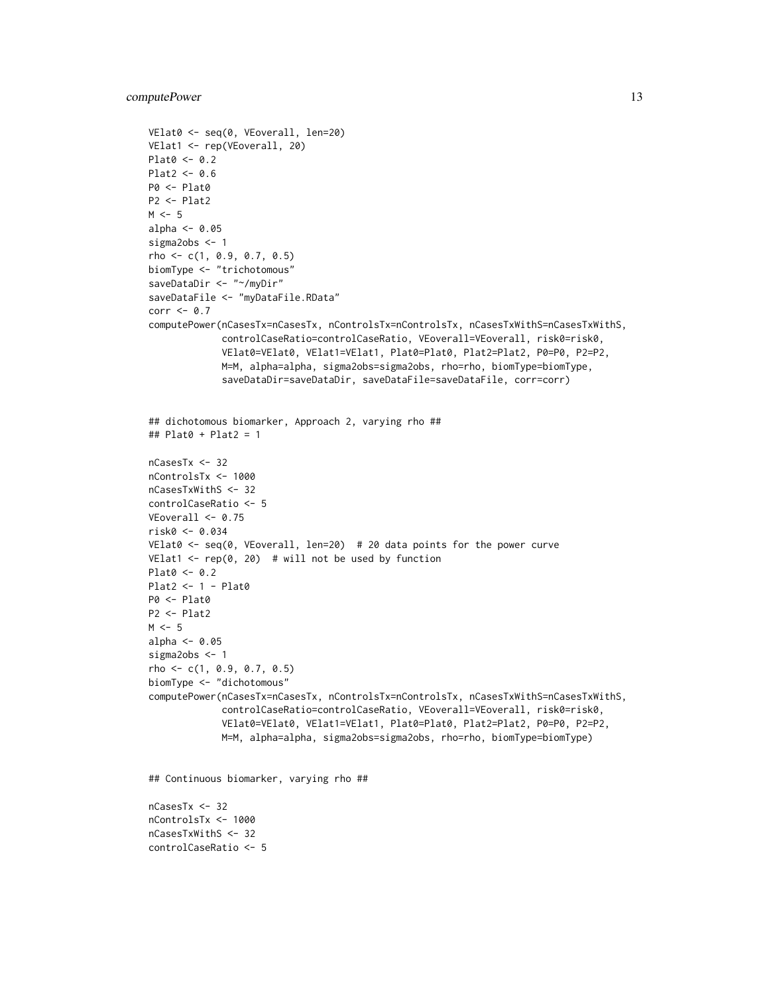```
VElat0 <- seq(0, VEoverall, len=20)
VElat1 <- rep(VEoverall, 20)
Plat0 <- 0.2
Plat2 < -0.6P0 <- Plat0
P2 <- Plat2
M < -5alpha <-0.05sigma2obs <- 1
rho <- c(1, 0.9, 0.7, 0.5)
biomType <- "trichotomous"
saveDataDir <- "~/myDir"
saveDataFile <- "myDataFile.RData"
corr \leq -0.7computePower(nCasesTx=nCasesTx, nControlsTx=nControlsTx, nCasesTxWithS=nCasesTxWithS,
             controlCaseRatio=controlCaseRatio, VEoverall=VEoverall, risk0=risk0,
             VElat0=VElat0, VElat1=VElat1, Plat0=Plat0, Plat2=Plat2, P0=P0, P2=P2,
             M=M, alpha=alpha, sigma2obs=sigma2obs, rho=rho, biomType=biomType,
             saveDataDir=saveDataDir, saveDataFile=saveDataFile, corr=corr)
## dichotomous biomarker, Approach 2, varying rho ##
## Plat0 + Plat2 = 1
nCasesTx <- 32
nControlsTx <- 1000
nCasesTxWithS <- 32
controlCaseRatio <- 5
VEoverall <- 0.75
risk0 <- 0.034
VElat0 <- seq(0, VEoverall, len=20) # 20 data points for the power curve
VElat1 \leq rep(0, 20) # will not be used by function
Plat0 < -0.2Plat2 <- 1 - Plat0
P0 <- Plat0
P2 <- Plat2
M < -5alpha <- 0.05
sigma2obs <- 1
rho \leq c(1, 0.9, 0.7, 0.5)
biomType <- "dichotomous"
computePower(nCasesTx=nCasesTx, nControlsTx=nControlsTx, nCasesTxWithS=nCasesTxWithS,
             controlCaseRatio=controlCaseRatio, VEoverall=VEoverall, risk0=risk0,
             VElat0=VElat0, VElat1=VElat1, Plat0=Plat0, Plat2=Plat2, P0=P0, P2=P2,
             M=M, alpha=alpha, sigma2obs=sigma2obs, rho=rho, biomType=biomType)
```
## Continuous biomarker, varying rho ##

nCasesTx <- 32 nControlsTx <- 1000 nCasesTxWithS <- 32 controlCaseRatio <- 5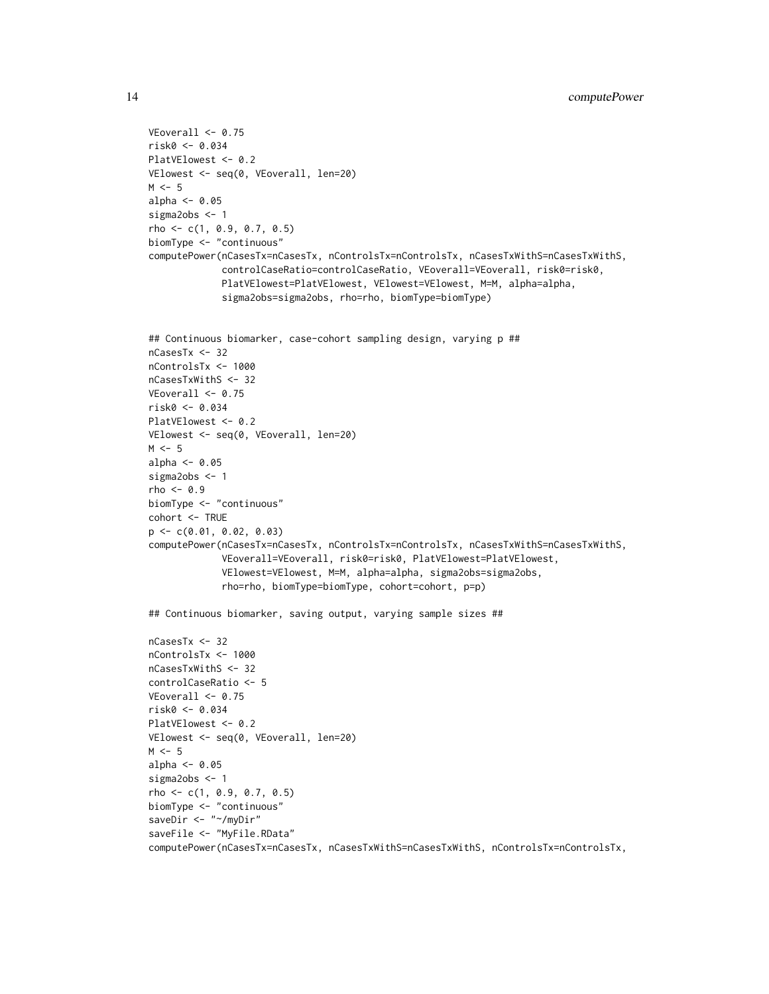```
VEoverall \leq 0.75risk0 <- 0.034
PlatVElowest <- 0.2
VElowest <- seq(0, VEoverall, len=20)
M < -5alpha <-0.05sigma2obs <- 1
rho <- c(1, 0.9, 0.7, 0.5)
biomType <- "continuous"
computePower(nCasesTx=nCasesTx, nControlsTx=nControlsTx, nCasesTxWithS=nCasesTxWithS,
             controlCaseRatio=controlCaseRatio, VEoverall=VEoverall, risk0=risk0,
             PlatVElowest=PlatVElowest, VElowest=VElowest, M=M, alpha=alpha,
             sigma2obs=sigma2obs, rho=rho, biomType=biomType)
## Continuous biomarker, case-cohort sampling design, varying p ##
nCasesTx <- 32
nControlsTx <- 1000
nCasesTxWithS <- 32
VEoverall <- 0.75
risk0 <- 0.034
PlatVElowest <- 0.2
VElowest <- seq(0, VEoverall, len=20)
M < -5alpha <- 0.05
sigma2obs <- 1
rho < -0.9biomType <- "continuous"
cohort <- TRUE
p <- c(0.01, 0.02, 0.03)
computePower(nCasesTx=nCasesTx, nControlsTx=nControlsTx, nCasesTxWithS=nCasesTxWithS,
             VEoverall=VEoverall, risk0=risk0, PlatVElowest=PlatVElowest,
             VElowest=VElowest, M=M, alpha=alpha, sigma2obs=sigma2obs,
             rho=rho, biomType=biomType, cohort=cohort, p=p)
## Continuous biomarker, saving output, varying sample sizes ##
nCasesTx <- 32
nControlsTx <- 1000
nCasesTxWithS <- 32
controlCaseRatio <- 5
VEoverall <- 0.75
risk0 <- 0.034
PlatVElowest <- 0.2
VElowest <- seq(0, VEoverall, len=20)
M < -5alpha <-0.05sigma2obs <- 1
rho <- c(1, 0.9, 0.7, 0.5)
biomType <- "continuous"
saveDir <- "~/myDir"
saveFile <- "MyFile.RData"
computePower(nCasesTx=nCasesTx, nCasesTxWithS=nCasesTxWithS, nControlsTx=nControlsTx,
```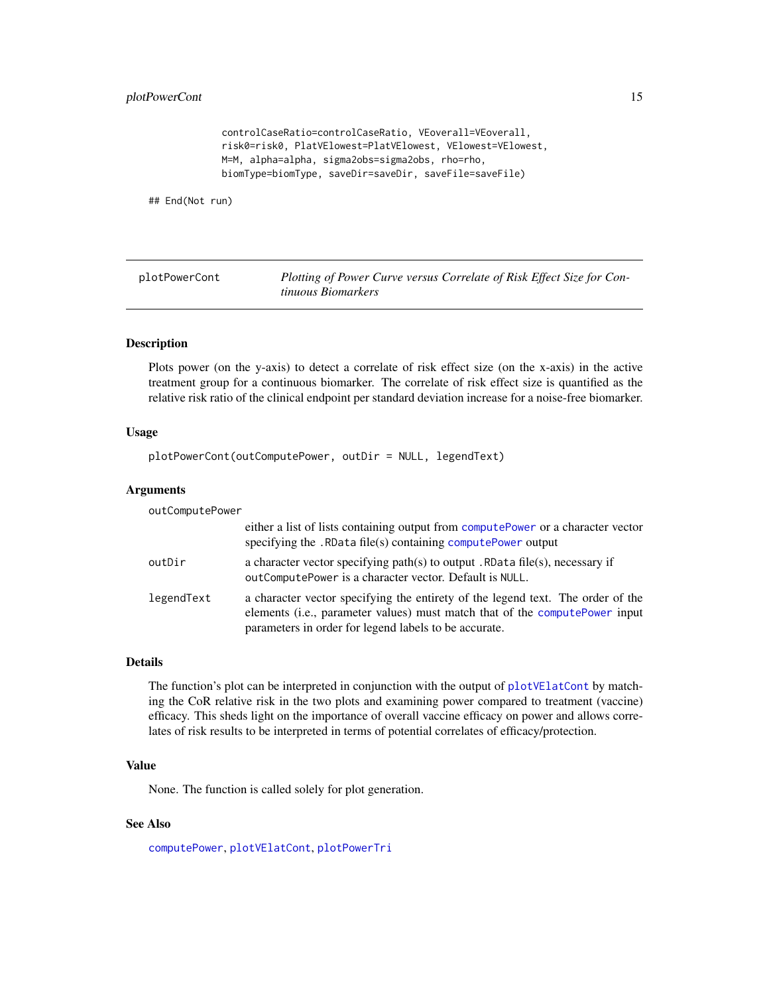<span id="page-14-0"></span>controlCaseRatio=controlCaseRatio, VEoverall=VEoverall, risk0=risk0, PlatVElowest=PlatVElowest, VElowest=VElowest, M=M, alpha=alpha, sigma2obs=sigma2obs, rho=rho, biomType=biomType, saveDir=saveDir, saveFile=saveFile)

## End(Not run)

<span id="page-14-1"></span>plotPowerCont *Plotting of Power Curve versus Correlate of Risk Effect Size for Continuous Biomarkers*

# Description

Plots power (on the y-axis) to detect a correlate of risk effect size (on the x-axis) in the active treatment group for a continuous biomarker. The correlate of risk effect size is quantified as the relative risk ratio of the clinical endpoint per standard deviation increase for a noise-free biomarker.

# Usage

plotPowerCont(outComputePower, outDir = NULL, legendText)

# Arguments

outComputePower

|            | either a list of lists containing output from computePower or a character vector<br>specifying the . RData file(s) containing computePower output                                                                        |
|------------|--------------------------------------------------------------------------------------------------------------------------------------------------------------------------------------------------------------------------|
| outDir     | a character vector specifying path(s) to output . RData file(s), necessary if<br>out Compute Power is a character vector. Default is NULL.                                                                               |
| legendText | a character vector specifying the entirety of the legend text. The order of the<br>elements (i.e., parameter values) must match that of the compute Power input<br>parameters in order for legend labels to be accurate. |

# Details

The function's plot can be interpreted in conjunction with the output of [plotVElatCont](#page-20-1) by matching the CoR relative risk in the two plots and examining power compared to treatment (vaccine) efficacy. This sheds light on the importance of overall vaccine efficacy on power and allows correlates of risk results to be interpreted in terms of potential correlates of efficacy/protection.

# Value

None. The function is called solely for plot generation.

# See Also

[computePower](#page-3-1), [plotVElatCont](#page-20-1), [plotPowerTri](#page-15-1)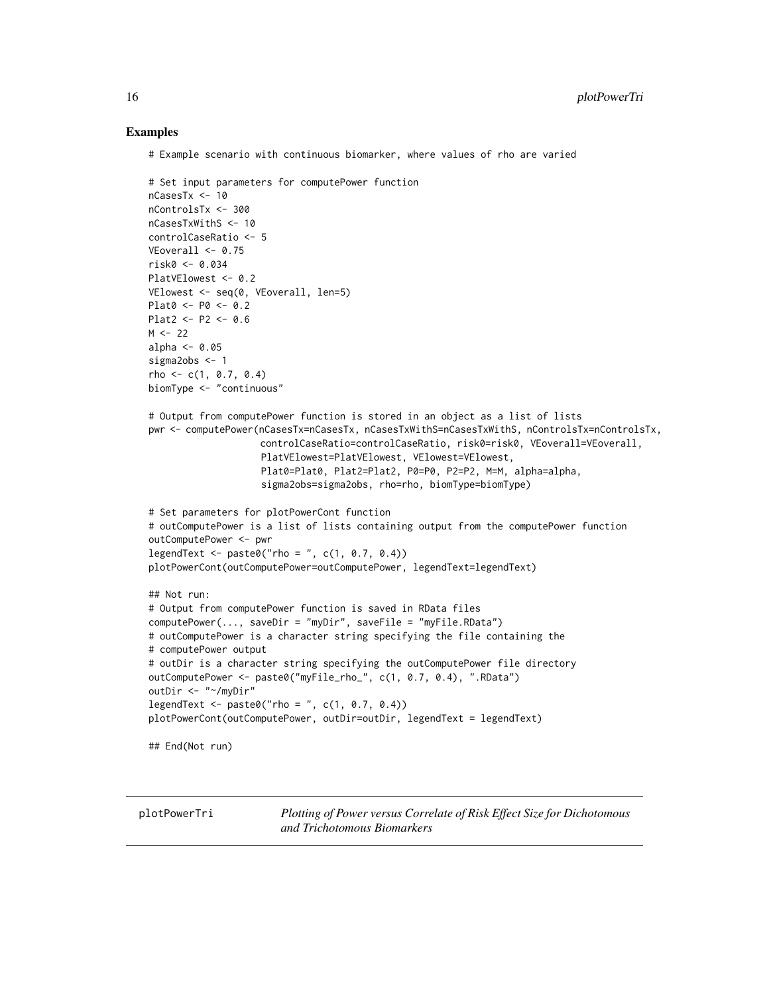# Examples

# Example scenario with continuous biomarker, where values of rho are varied

```
# Set input parameters for computePower function
nCasesTx <- 10
nControlsTx <- 300
nCasesTxWithS <- 10
controlCaseRatio <- 5
VEoverall <- 0.75
risk0 <- 0.034
PlatVElowest <- 0.2
VElowest <- seq(0, VEoverall, len=5)
Plat0 <- P0 <- 0.2
Plat2 <- P2 <- 0.6M < -22alpha <-0.05sigma2obs <- 1
rho \leq c(1, 0.7, 0.4)biomType <- "continuous"
# Output from computePower function is stored in an object as a list of lists
pwr <- computePower(nCasesTx=nCasesTx, nCasesTxWithS=nCasesTxWithS, nControlsTx=nControlsTx,
                    controlCaseRatio=controlCaseRatio, risk0=risk0, VEoverall=VEoverall,
                    PlatVElowest=PlatVElowest, VElowest=VElowest,
                    Plat0=Plat0, Plat2=Plat2, P0=P0, P2=P2, M=M, alpha=alpha,
                    sigma2obs=sigma2obs, rho=rho, biomType=biomType)
# Set parameters for plotPowerCont function
# outComputePower is a list of lists containing output from the computePower function
outComputePower <- pwr
legent < - paste0("rho = ", c(1, 0.7, 0.4))
plotPowerCont(outComputePower=outComputePower, legendText=legendText)
## Not run:
# Output from computePower function is saved in RData files
computePower(..., saveDir = "myDir", saveFile = "myFile.RData")
# outComputePower is a character string specifying the file containing the
# computePower output
# outDir is a character string specifying the outComputePower file directory
outComputePower <- paste0("myFile_rho_", c(1, 0.7, 0.4), ".RData")
outDir <- "~/myDir"
legendText <- paste0("rho = ", c(1, 0.7, 0.4))
plotPowerCont(outComputePower, outDir=outDir, legendText = legendText)
## End(Not run)
```
<span id="page-15-1"></span>plotPowerTri *Plotting of Power versus Correlate of Risk Effect Size for Dichotomous and Trichotomous Biomarkers*

<span id="page-15-0"></span>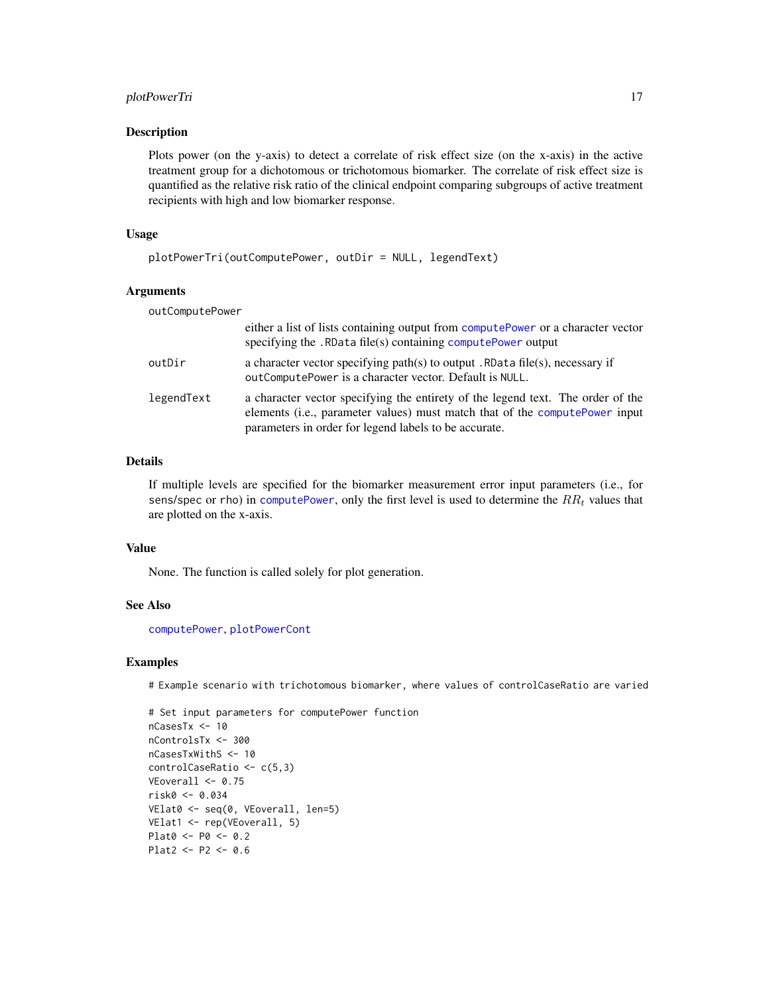# <span id="page-16-0"></span>plotPowerTri 17

# Description

Plots power (on the y-axis) to detect a correlate of risk effect size (on the x-axis) in the active treatment group for a dichotomous or trichotomous biomarker. The correlate of risk effect size is quantified as the relative risk ratio of the clinical endpoint comparing subgroups of active treatment recipients with high and low biomarker response.

# Usage

```
plotPowerTri(outComputePower, outDir = NULL, legendText)
```
# Arguments

| outComputePower |                                                                                                                                                                                                                         |
|-----------------|-------------------------------------------------------------------------------------------------------------------------------------------------------------------------------------------------------------------------|
|                 | either a list of lists containing output from computePower or a character vector<br>specifying the . RData file(s) containing computePower output                                                                       |
| outDir          | a character vector specifying path(s) to output . RData file(s), necessary if<br>outComputePower is a character vector. Default is NULL.                                                                                |
| legendText      | a character vector specifying the entirety of the legend text. The order of the<br>elements (i.e., parameter values) must match that of the computePower input<br>parameters in order for legend labels to be accurate. |

# Details

If multiple levels are specified for the biomarker measurement error input parameters (i.e., for sens/spec or rho) in [computePower](#page-3-1), only the first level is used to determine the  $RR<sub>t</sub>$  values that are plotted on the x-axis.

# Value

None. The function is called solely for plot generation.

# See Also

[computePower](#page-3-1), [plotPowerCont](#page-14-1)

# Examples

# Example scenario with trichotomous biomarker, where values of controlCaseRatio are varied

```
# Set input parameters for computePower function
nCasesTx <- 10
nControlsTx <- 300
nCasesTxWithS <- 10
controlCaseRatio <- c(5,3)
VEoverall <- 0.75
risk0 <- 0.034
VElat0 <- seq(0, VEoverall, len=5)
VElat1 <- rep(VEoverall, 5)
Plat0 <- P0 <- 0.2
Plat2 <- P2 <- 0.6
```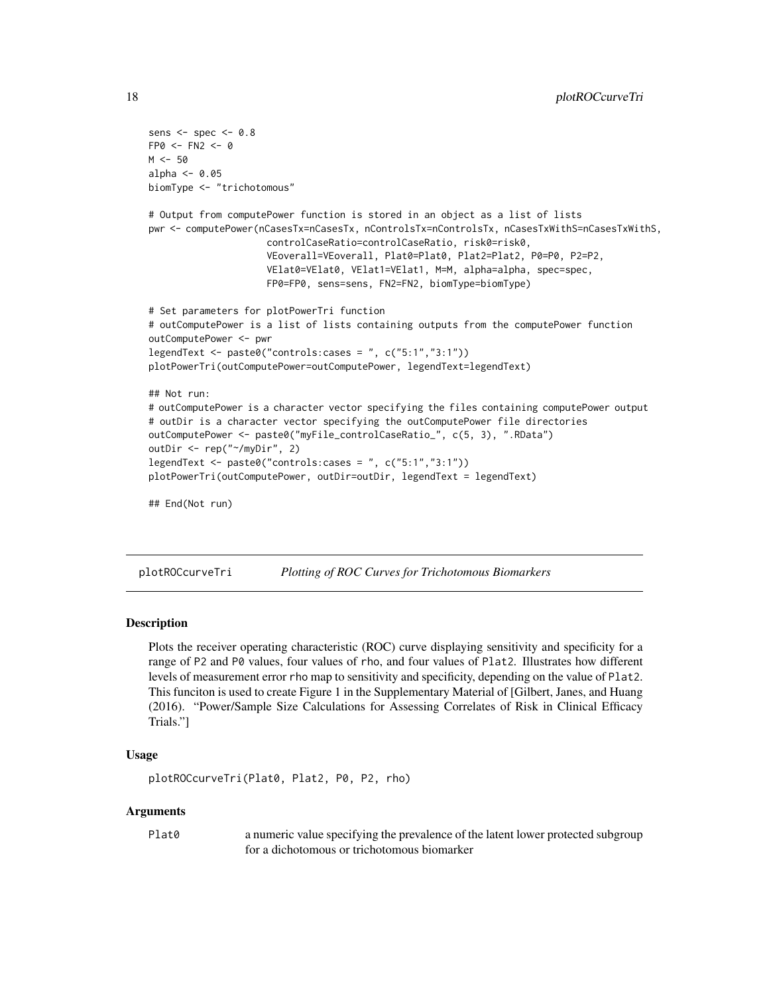```
sens <- spec <- 0.8
FPO < - FN2 < - 0M < -50alpha \leq -0.05biomType <- "trichotomous"
# Output from computePower function is stored in an object as a list of lists
pwr <- computePower(nCasesTx=nCasesTx, nControlsTx=nControlsTx, nCasesTxWithS=nCasesTxWithS,
                     controlCaseRatio=controlCaseRatio, risk0=risk0,
                     VEoverall=VEoverall, Plat0=Plat0, Plat2=Plat2, P0=P0, P2=P2,
                     VElat0=VElat0, VElat1=VElat1, M=M, alpha=alpha, spec=spec,
                     FP0=FP0, sens=sens, FN2=FN2, biomType=biomType)
# Set parameters for plotPowerTri function
# outComputePower is a list of lists containing outputs from the computePower function
outComputePower <- pwr
legendText <- paste0("controls:cases = ", c("5:1","3:1"))
plotPowerTri(outComputePower=outComputePower, legendText=legendText)
## Not run:
# outComputePower is a character vector specifying the files containing computePower output
# outDir is a character vector specifying the outComputePower file directories
outComputePower <- paste0("myFile_controlCaseRatio_", c(5, 3), ".RData")
outDir <- rep("~/myDir", 2)
legendText <- paste0("controls:cases = ", c("5:1","3:1"))
plotPowerTri(outComputePower, outDir=outDir, legendText = legendText)
## End(Not run)
```
plotROCcurveTri *Plotting of ROC Curves for Trichotomous Biomarkers*

# Description

Plots the receiver operating characteristic (ROC) curve displaying sensitivity and specificity for a range of P2 and P0 values, four values of rho, and four values of Plat2. Illustrates how different levels of measurement error rho map to sensitivity and specificity, depending on the value of Plat2. This funciton is used to create Figure 1 in the Supplementary Material of [Gilbert, Janes, and Huang (2016). "Power/Sample Size Calculations for Assessing Correlates of Risk in Clinical Efficacy Trials."]

#### Usage

```
plotROCcurveTri(Plat0, Plat2, P0, P2, rho)
```
# Arguments

Plat0 a numeric value specifying the prevalence of the latent lower protected subgroup for a dichotomous or trichotomous biomarker

<span id="page-17-0"></span>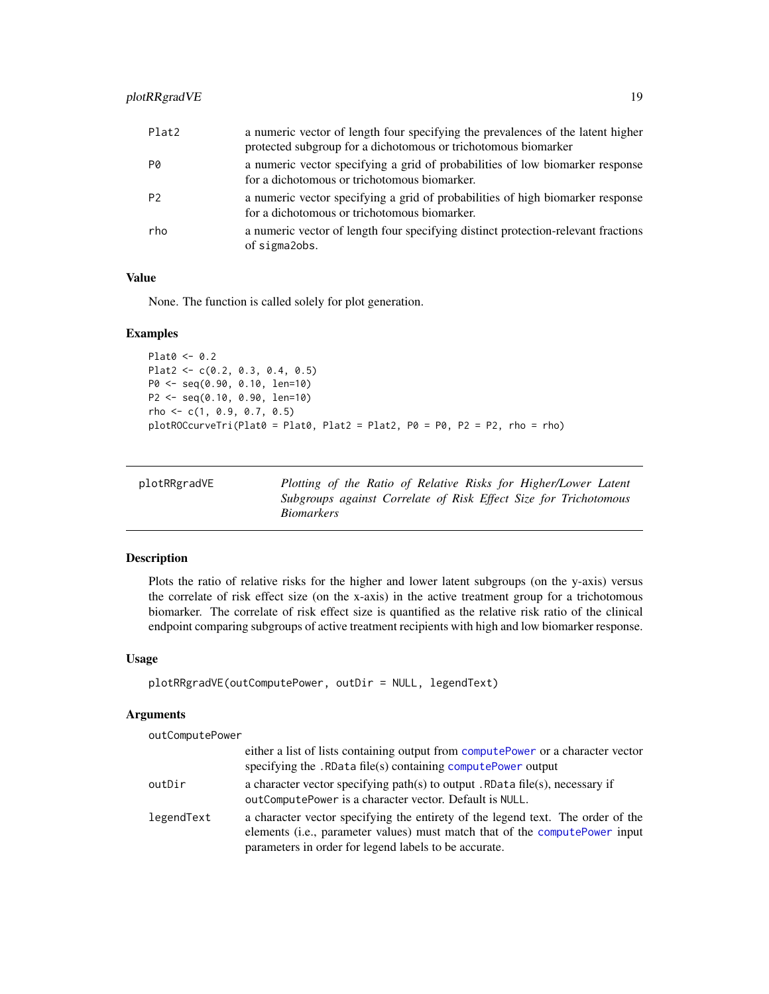<span id="page-18-0"></span>

| Plat2          | a numeric vector of length four specifying the prevalences of the latent higher<br>protected subgroup for a dichotomous or trichotomous biomarker |
|----------------|---------------------------------------------------------------------------------------------------------------------------------------------------|
| P0             | a numeric vector specifying a grid of probabilities of low biomarker response<br>for a dichotomous or trichotomous biomarker.                     |
| P <sub>2</sub> | a numeric vector specifying a grid of probabilities of high biomarker response<br>for a dichotomous or trichotomous biomarker.                    |
| rho            | a numeric vector of length four specifying distinct protection-relevant fractions<br>of sigmalobs.                                                |

# Value

None. The function is called solely for plot generation.

# Examples

```
Plat0 < -0.2Plat2 <- c(0.2, 0.3, 0.4, 0.5)
P0 <- seq(0.90, 0.10, len=10)
P2 <- seq(0.10, 0.90, len=10)
rho \leftarrow c(1, 0.9, 0.7, 0.5)plotROCcurveTri(Plat0 = Plat0, Plat2 = Plat2, P0 = P0, P2 = P2, rho = rho)
```

| plotRRgradVE | Plotting of the Ratio of Relative Risks for Higher/Lower Latent                       |
|--------------|---------------------------------------------------------------------------------------|
|              | Subgroups against Correlate of Risk Effect Size for Trichotomous<br><i>Biomarkers</i> |

# Description

Plots the ratio of relative risks for the higher and lower latent subgroups (on the y-axis) versus the correlate of risk effect size (on the x-axis) in the active treatment group for a trichotomous biomarker. The correlate of risk effect size is quantified as the relative risk ratio of the clinical endpoint comparing subgroups of active treatment recipients with high and low biomarker response.

# Usage

```
plotRRgradVE(outComputePower, outDir = NULL, legendText)
```
#### Arguments

# outComputePower

|            | either a list of lists containing output from computePower or a character vector                                                                                                                                         |
|------------|--------------------------------------------------------------------------------------------------------------------------------------------------------------------------------------------------------------------------|
|            | specifying the . RData file(s) containing computePower output                                                                                                                                                            |
| outDir     | a character vector specifying path(s) to output. RData file(s), necessary if<br>out Compute Power is a character vector. Default is NULL.                                                                                |
| legendText | a character vector specifying the entirety of the legend text. The order of the<br>elements (i.e., parameter values) must match that of the compute Power input<br>parameters in order for legend labels to be accurate. |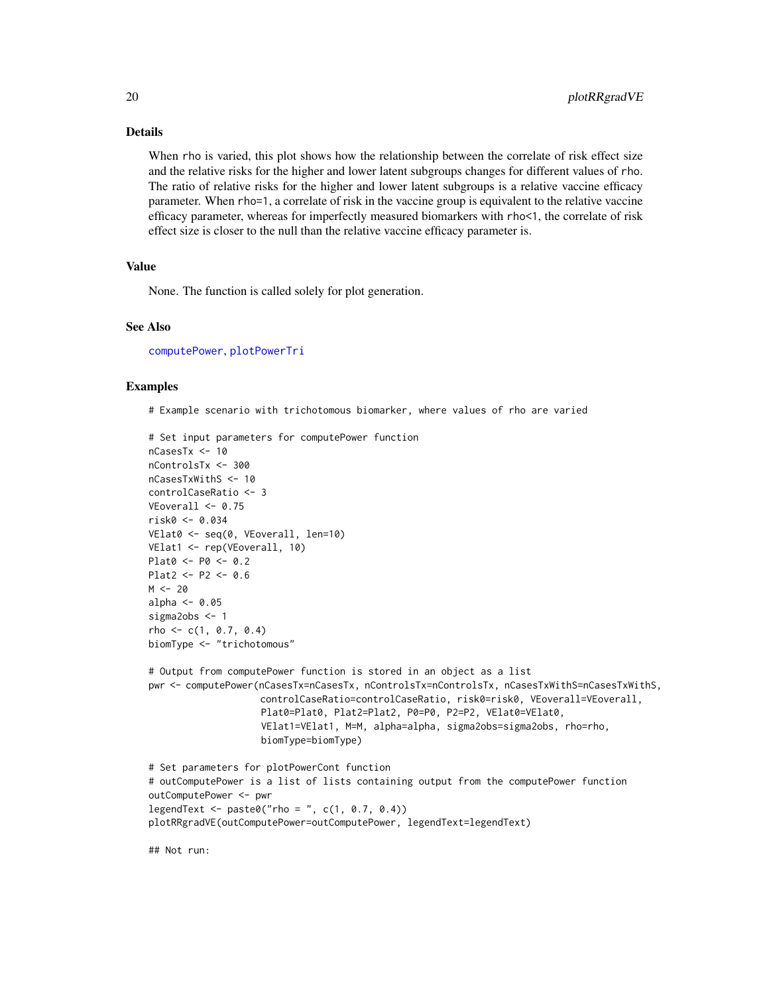# Details

When rho is varied, this plot shows how the relationship between the correlate of risk effect size and the relative risks for the higher and lower latent subgroups changes for different values of rho. The ratio of relative risks for the higher and lower latent subgroups is a relative vaccine efficacy parameter. When rho=1, a correlate of risk in the vaccine group is equivalent to the relative vaccine efficacy parameter, whereas for imperfectly measured biomarkers with rho<1, the correlate of risk effect size is closer to the null than the relative vaccine efficacy parameter is.

# Value

None. The function is called solely for plot generation.

# See Also

[computePower](#page-3-1), [plotPowerTri](#page-15-1)

# Examples

# Example scenario with trichotomous biomarker, where values of rho are varied

```
# Set input parameters for computePower function
nCasesTx <- 10
nControlsTx <- 300
nCasesTxWithS <- 10
controlCaseRatio <- 3
VEoverall \leq -0.75risk0 <- 0.034
VElat0 <- seq(0, VEoverall, len=10)
VElat1 <- rep(VEoverall, 10)
Plat0 <- P0 <- 0.2
Plat2 <- P2 <- 0.6
M < -20alpha <-0.05sigma2obs <- 1
rho \leftarrow c(1, 0.7, 0.4)biomType <- "trichotomous"
# Output from computePower function is stored in an object as a list
pwr <- computePower(nCasesTx=nCasesTx, nControlsTx=nControlsTx, nCasesTxWithS=nCasesTxWithS,
                    controlCaseRatio=controlCaseRatio, risk0=risk0, VEoverall=VEoverall,
                    Plat0=Plat0, Plat2=Plat2, P0=P0, P2=P2, VElat0=VElat0,
                    VElat1=VElat1, M=M, alpha=alpha, sigma2obs=sigma2obs, rho=rho,
                    biomType=biomType)
# Set parameters for plotPowerCont function
# outComputePower is a list of lists containing output from the computePower function
outComputePower <- pwr
legent < -</math> paste@("rho = ", c(1, 0.7, 0.4))plotRRgradVE(outComputePower=outComputePower, legendText=legendText)
```
## Not run:

<span id="page-19-0"></span>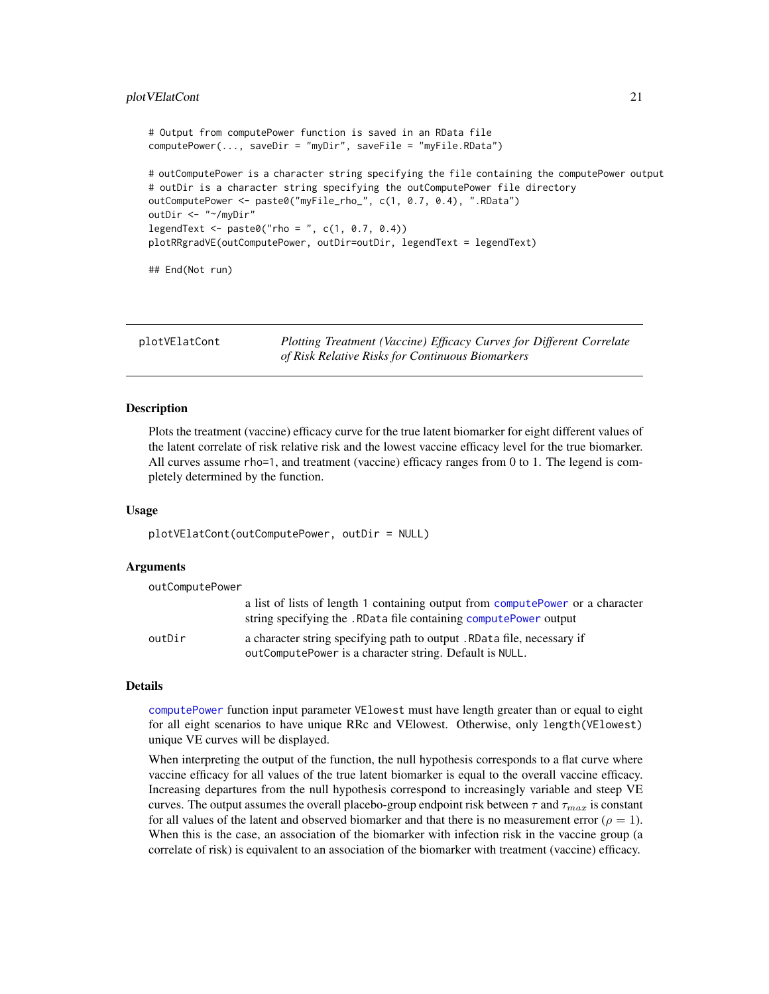# <span id="page-20-0"></span>plotVElatCont 21

```
# Output from computePower function is saved in an RData file
computePower(..., saveDir = "myDir", saveFile = "myFile.RData")
# outComputePower is a character string specifying the file containing the computePower output
# outDir is a character string specifying the outComputePower file directory
outComputePower <- paste0("myFile_rho_", c(1, 0.7, 0.4), ".RData")
outDir <- "~/myDir"
legent < -</math> paste0("rho = ", c(1, 0.7, 0.4))plotRRgradVE(outComputePower, outDir=outDir, legendText = legendText)
## End(Not run)
```
<span id="page-20-1"></span>plotVElatCont *Plotting Treatment (Vaccine) Efficacy Curves for Different Correlate of Risk Relative Risks for Continuous Biomarkers*

# Description

Plots the treatment (vaccine) efficacy curve for the true latent biomarker for eight different values of the latent correlate of risk relative risk and the lowest vaccine efficacy level for the true biomarker. All curves assume rho=1, and treatment (vaccine) efficacy ranges from 0 to 1. The legend is completely determined by the function.

# Usage

```
plotVElatCont(outComputePower, outDir = NULL)
```
# Arguments

| outComputePower |                                                                                                                                                     |
|-----------------|-----------------------------------------------------------------------------------------------------------------------------------------------------|
|                 | a list of lists of length 1 containing output from computePower or a character<br>string specifying the . RData file containing computePower output |
| outDir          | a character string specifying path to output. RData file, necessary if<br>out Compute Power is a character string. Default is NULL.                 |

# Details

[computePower](#page-3-1) function input parameter VElowest must have length greater than or equal to eight for all eight scenarios to have unique RRc and VElowest. Otherwise, only length(VElowest) unique VE curves will be displayed.

When interpreting the output of the function, the null hypothesis corresponds to a flat curve where vaccine efficacy for all values of the true latent biomarker is equal to the overall vaccine efficacy. Increasing departures from the null hypothesis correspond to increasingly variable and steep VE curves. The output assumes the overall placebo-group endpoint risk between  $\tau$  and  $\tau_{max}$  is constant for all values of the latent and observed biomarker and that there is no measurement error ( $\rho = 1$ ). When this is the case, an association of the biomarker with infection risk in the vaccine group (a correlate of risk) is equivalent to an association of the biomarker with treatment (vaccine) efficacy.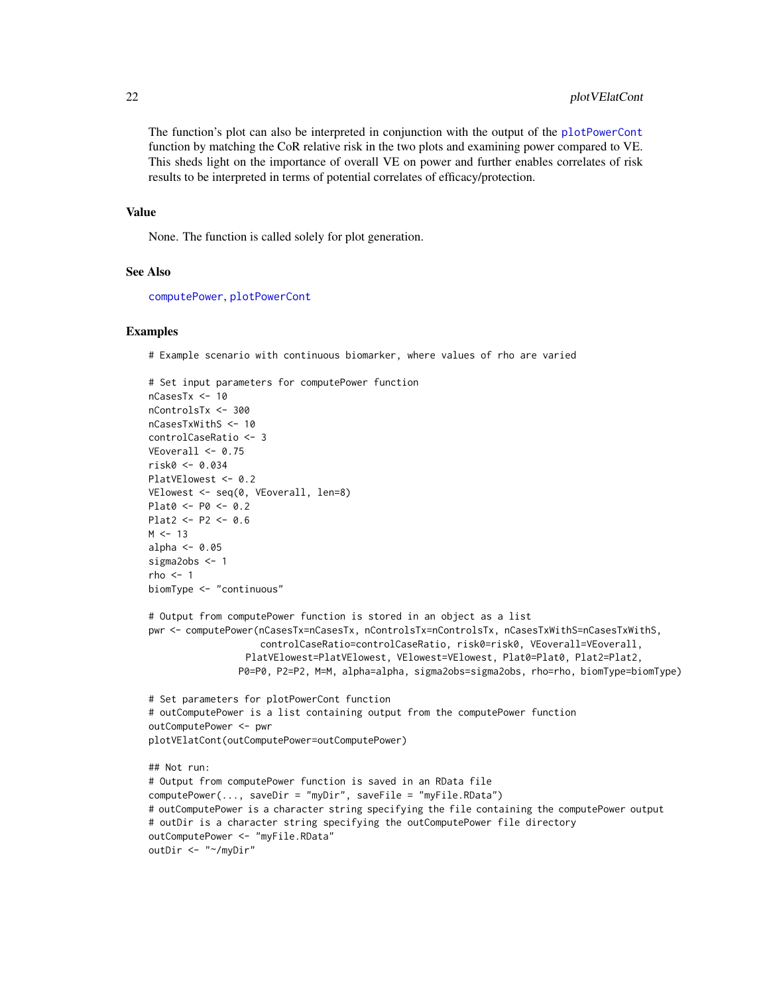The function's plot can also be interpreted in conjunction with the output of the [plotPowerCont](#page-14-1) function by matching the CoR relative risk in the two plots and examining power compared to VE. This sheds light on the importance of overall VE on power and further enables correlates of risk results to be interpreted in terms of potential correlates of efficacy/protection.

# Value

None. The function is called solely for plot generation.

# See Also

[computePower](#page-3-1), [plotPowerCont](#page-14-1)

# Examples

# Example scenario with continuous biomarker, where values of rho are varied

```
# Set input parameters for computePower function
nCasesTx <- 10
nControlsTx <- 300
nCasesTxWithS <- 10
controlCaseRatio <- 3
VEoverall \leq 0.75risk0 <- 0.034
PlatVElowest <- 0.2
VElowest <- seq(0, VEoverall, len=8)
Plat0 <- P0 <- 0.2
Plat2 <- P2 <- 0.6
M < -13alpha \leq -0.05sigma2obs <- 1
rho < -1biomType <- "continuous"
# Output from computePower function is stored in an object as a list
pwr <- computePower(nCasesTx=nCasesTx, nControlsTx=nControlsTx, nCasesTxWithS=nCasesTxWithS,
                    controlCaseRatio=controlCaseRatio, risk0=risk0, VEoverall=VEoverall,
                 PlatVElowest=PlatVElowest, VElowest=VElowest, Plat0=Plat0, Plat2=Plat2,
                P0=P0, P2=P2, M=M, alpha=alpha, sigma2obs=sigma2obs, rho=rho, biomType=biomType)
# Set parameters for plotPowerCont function
# outComputePower is a list containing output from the computePower function
outComputePower <- pwr
plotVElatCont(outComputePower=outComputePower)
## Not run:
# Output from computePower function is saved in an RData file
computePower(..., saveDir = "myDir", saveFile = "myFile.RData")
# outComputePower is a character string specifying the file containing the computePower output
# outDir is a character string specifying the outComputePower file directory
outComputePower <- "myFile.RData"
outDir <- "~/myDir"
```
<span id="page-21-0"></span>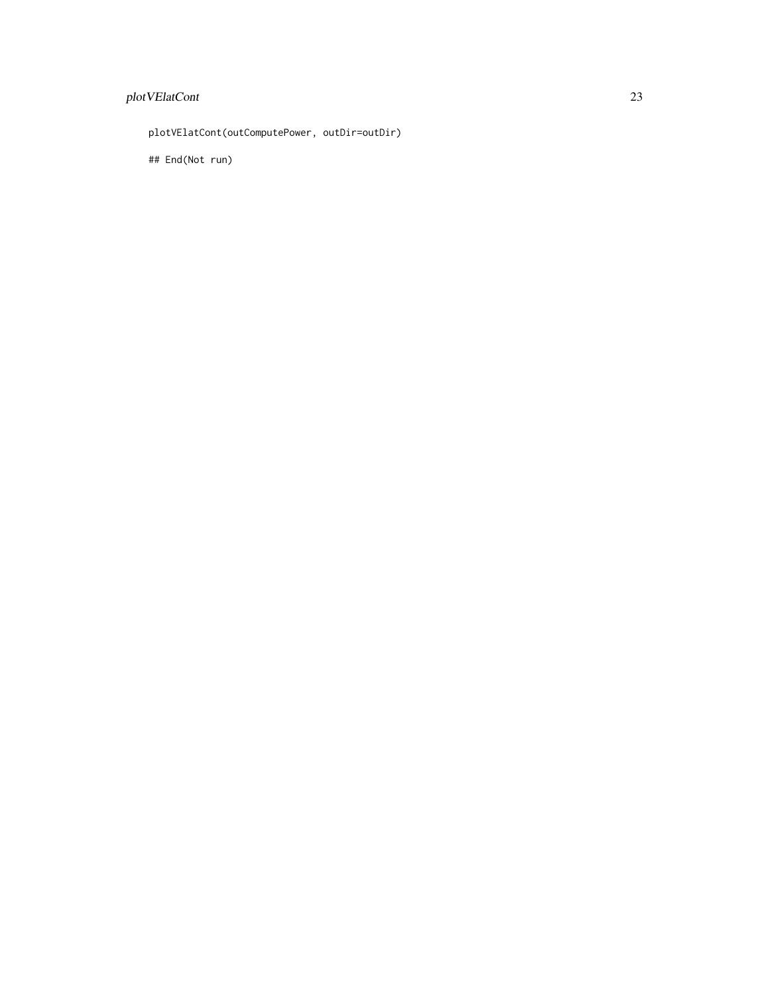# plot VElatCont 23

plotVElatCont(outComputePower, outDir=outDir)

## End(Not run)